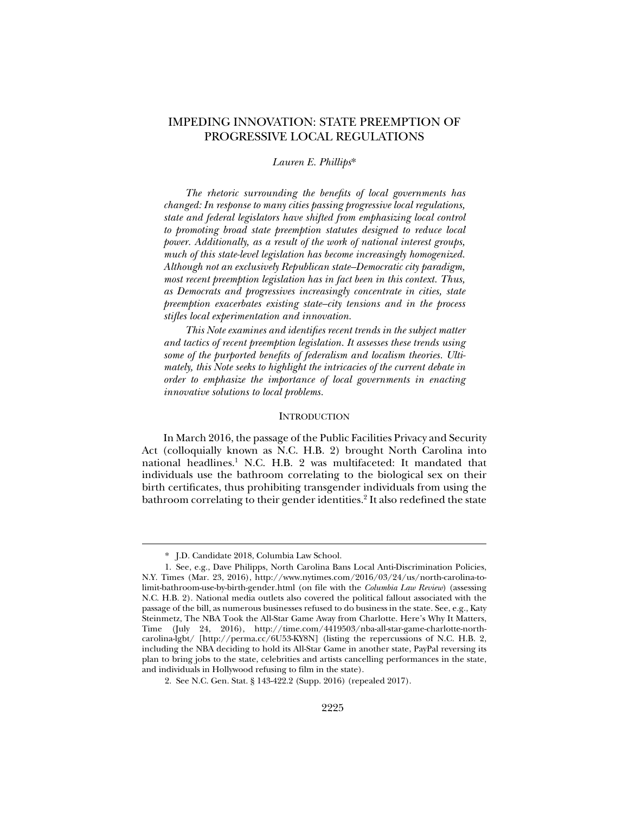# IMPEDING INNOVATION: STATE PREEMPTION OF PROGRESSIVE LOCAL REGULATIONS

## *Lauren E. Phillips*\*

*The rhetoric surrounding the benefits of local governments has changed: In response to many cities passing progressive local regulations, state and federal legislators have shifted from emphasizing local control to promoting broad state preemption statutes designed to reduce local power. Additionally, as a result of the work of national interest groups, much of this state-level legislation has become increasingly homogenized. Although not an exclusively Republican state–Democratic city paradigm, most recent preemption legislation has in fact been in this context. Thus, as Democrats and progressives increasingly concentrate in cities, state preemption exacerbates existing state–city tensions and in the process stifles local experimentation and innovation.* 

*This Note examines and identifies recent trends in the subject matter and tactics of recent preemption legislation. It assesses these trends using some of the purported benefits of federalism and localism theories. Ultimately, this Note seeks to highlight the intricacies of the current debate in order to emphasize the importance of local governments in enacting innovative solutions to local problems.* 

## **INTRODUCTION**

In March 2016, the passage of the Public Facilities Privacy and Security Act (colloquially known as N.C. H.B. 2) brought North Carolina into national headlines.<sup>1</sup> N.C. H.B. 2 was multifaceted: It mandated that individuals use the bathroom correlating to the biological sex on their birth certificates, thus prohibiting transgender individuals from using the bathroom correlating to their gender identities.<sup>2</sup> It also redefined the state

 <sup>\*.</sup> J.D. Candidate 2018, Columbia Law School.

 <sup>1.</sup> See, e.g., Dave Philipps, North Carolina Bans Local Anti-Discrimination Policies, N.Y. Times (Mar. 23, 2016), http://www.nytimes.com/2016/03/24/us/north-carolina-tolimit-bathroom-use-by-birth-gender.html (on file with the *Columbia Law Review*) (assessing N.C. H.B. 2). National media outlets also covered the political fallout associated with the passage of the bill, as numerous businesses refused to do business in the state. See, e.g., Katy Steinmetz, The NBA Took the All-Star Game Away from Charlotte. Here's Why It Matters, Time (July 24, 2016), http://time.com/4419503/nba-all-star-game-charlotte-northcarolina-lgbt/ [http://perma.cc/6U53-KY8N] (listing the repercussions of N.C. H.B. 2, including the NBA deciding to hold its All-Star Game in another state, PayPal reversing its plan to bring jobs to the state, celebrities and artists cancelling performances in the state, and individuals in Hollywood refusing to film in the state).

 <sup>2.</sup> See N.C. Gen. Stat. § 143-422.2 (Supp. 2016) (repealed 2017).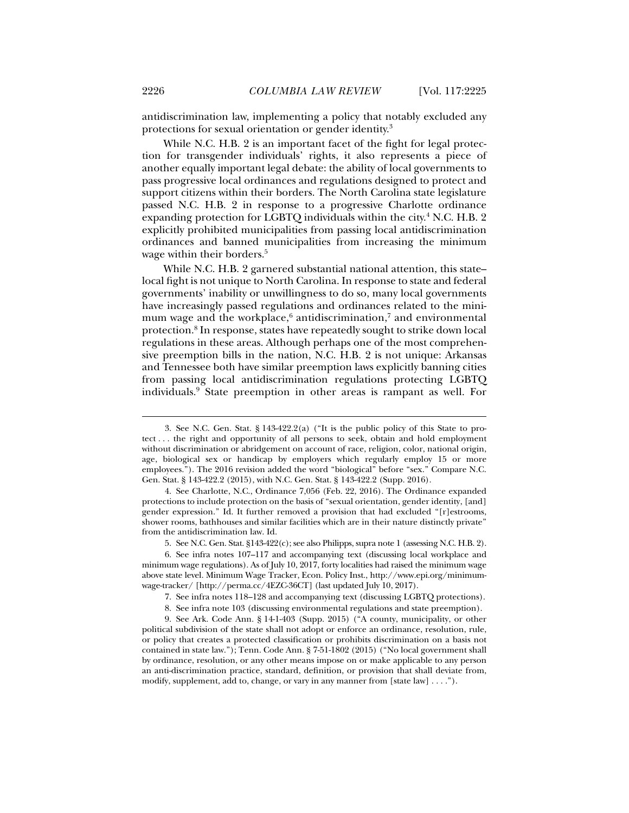antidiscrimination law, implementing a policy that notably excluded any protections for sexual orientation or gender identity.3

While N.C. H.B. 2 is an important facet of the fight for legal protection for transgender individuals' rights, it also represents a piece of another equally important legal debate: the ability of local governments to pass progressive local ordinances and regulations designed to protect and support citizens within their borders. The North Carolina state legislature passed N.C. H.B. 2 in response to a progressive Charlotte ordinance expanding protection for LGBTQ individuals within the city.<sup>4</sup> N.C. H.B. 2 explicitly prohibited municipalities from passing local antidiscrimination ordinances and banned municipalities from increasing the minimum wage within their borders.<sup>5</sup>

While N.C. H.B. 2 garnered substantial national attention, this state– local fight is not unique to North Carolina. In response to state and federal governments' inability or unwillingness to do so, many local governments have increasingly passed regulations and ordinances related to the minimum wage and the workplace, $6$  antidiscrimination, $7$  and environmental protection.8 In response, states have repeatedly sought to strike down local regulations in these areas. Although perhaps one of the most comprehensive preemption bills in the nation, N.C. H.B. 2 is not unique: Arkansas and Tennessee both have similar preemption laws explicitly banning cities from passing local antidiscrimination regulations protecting LGBTQ individuals.9 State preemption in other areas is rampant as well. For

 <sup>3.</sup> See N.C. Gen. Stat. § 143-422.2(a) ("It is the public policy of this State to protect . . . the right and opportunity of all persons to seek, obtain and hold employment without discrimination or abridgement on account of race, religion, color, national origin, age, biological sex or handicap by employers which regularly employ 15 or more employees."). The 2016 revision added the word "biological" before "sex." Compare N.C. Gen. Stat. § 143-422.2 (2015), with N.C. Gen. Stat. § 143-422.2 (Supp. 2016).

 <sup>4.</sup> See Charlotte, N.C., Ordinance 7,056 (Feb. 22, 2016). The Ordinance expanded protections to include protection on the basis of "sexual orientation, gender identity, [and] gender expression." Id. It further removed a provision that had excluded "[r]estrooms, shower rooms, bathhouses and similar facilities which are in their nature distinctly private" from the antidiscrimination law. Id.

 <sup>5.</sup> See N.C. Gen. Stat. §143-422(c); see also Philipps, supra note 1 (assessing N.C. H.B. 2).

 <sup>6.</sup> See infra notes 107–117 and accompanying text (discussing local workplace and minimum wage regulations). As of July 10, 2017, forty localities had raised the minimum wage above state level. Minimum Wage Tracker, Econ. Policy Inst., http://www.epi.org/minimumwage-tracker/ [http://perma.cc/4EZC-36CT] (last updated July 10, 2017).

 <sup>7.</sup> See infra notes 118–128 and accompanying text (discussing LGBTQ protections).

 <sup>8.</sup> See infra note 103 (discussing environmental regulations and state preemption).

 <sup>9.</sup> See Ark. Code Ann. § 14-1-403 (Supp. 2015) ("A county, municipality, or other political subdivision of the state shall not adopt or enforce an ordinance, resolution, rule, or policy that creates a protected classification or prohibits discrimination on a basis not contained in state law."); Tenn. Code Ann. § 7-51-1802 (2015) ("No local government shall by ordinance, resolution, or any other means impose on or make applicable to any person an anti-discrimination practice, standard, definition, or provision that shall deviate from, modify, supplement, add to, change, or vary in any manner from [state law] . . . .").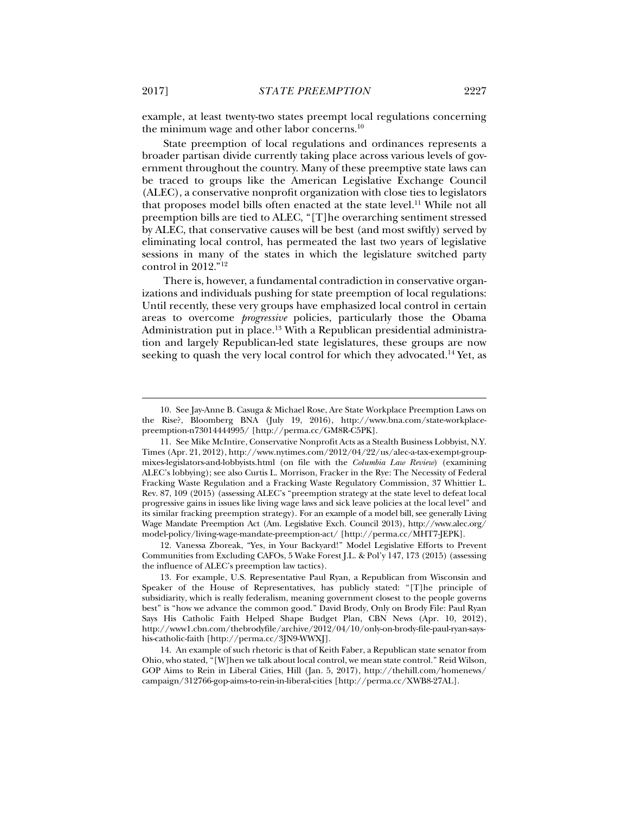example, at least twenty-two states preempt local regulations concerning the minimum wage and other labor concerns.<sup>10</sup>

State preemption of local regulations and ordinances represents a broader partisan divide currently taking place across various levels of government throughout the country. Many of these preemptive state laws can be traced to groups like the American Legislative Exchange Council (ALEC), a conservative nonprofit organization with close ties to legislators that proposes model bills often enacted at the state level.<sup>11</sup> While not all preemption bills are tied to ALEC, "[T]he overarching sentiment stressed by ALEC, that conservative causes will be best (and most swiftly) served by eliminating local control, has permeated the last two years of legislative sessions in many of the states in which the legislature switched party control in 2012."12

There is, however, a fundamental contradiction in conservative organizations and individuals pushing for state preemption of local regulations: Until recently, these very groups have emphasized local control in certain areas to overcome *progressive* policies, particularly those the Obama Administration put in place.<sup>13</sup> With a Republican presidential administration and largely Republican-led state legislatures, these groups are now seeking to quash the very local control for which they advocated.<sup>14</sup> Yet, as

 12. Vanessa Zboreak, "Yes, in Your Backyard!" Model Legislative Efforts to Prevent Communities from Excluding CAFOs, 5 Wake Forest J.L. & Pol'y 147, 173 (2015) (assessing the influence of ALEC's preemption law tactics).

 <sup>10.</sup> See Jay-Anne B. Casuga & Michael Rose, Are State Workplace Preemption Laws on the Rise?, Bloomberg BNA (July 19, 2016), http://www.bna.com/state-workplacepreemption-n73014444995/ [http://perma.cc/GM8R-C5PK].

 <sup>11.</sup> See Mike McIntire, Conservative Nonprofit Acts as a Stealth Business Lobbyist, N.Y. Times (Apr. 21, 2012), http://www.nytimes.com/2012/04/22/us/alec-a-tax-exempt-groupmixes-legislators-and-lobbyists.html (on file with the *Columbia Law Review*) (examining ALEC's lobbying); see also Curtis L. Morrison, Fracker in the Rye: The Necessity of Federal Fracking Waste Regulation and a Fracking Waste Regulatory Commission, 37 Whittier L. Rev. 87, 109 (2015) (assessing ALEC's "preemption strategy at the state level to defeat local progressive gains in issues like living wage laws and sick leave policies at the local level" and its similar fracking preemption strategy). For an example of a model bill, see generally Living Wage Mandate Preemption Act (Am. Legislative Exch. Council 2013), http://www.alec.org/ model-policy/living-wage-mandate-preemption-act/ [http://perma.cc/MHT7-JEPK].

 <sup>13.</sup> For example, U.S. Representative Paul Ryan, a Republican from Wisconsin and Speaker of the House of Representatives, has publicly stated: "[T]he principle of subsidiarity, which is really federalism, meaning government closest to the people governs best" is "how we advance the common good." David Brody, Only on Brody File: Paul Ryan Says His Catholic Faith Helped Shape Budget Plan, CBN News (Apr. 10, 2012), http://www1.cbn.com/thebrodyfile/archive/2012/04/10/only-on-brody-file-paul-ryan-sayshis-catholic-faith [http://perma.cc/3JN9-WWXJ].

 <sup>14.</sup> An example of such rhetoric is that of Keith Faber, a Republican state senator from Ohio, who stated, "[W]hen we talk about local control, we mean state control." Reid Wilson, GOP Aims to Rein in Liberal Cities, Hill (Jan. 5, 2017), http://thehill.com/homenews/ campaign/312766-gop-aims-to-rein-in-liberal-cities [http://perma.cc/XWB8-27AL].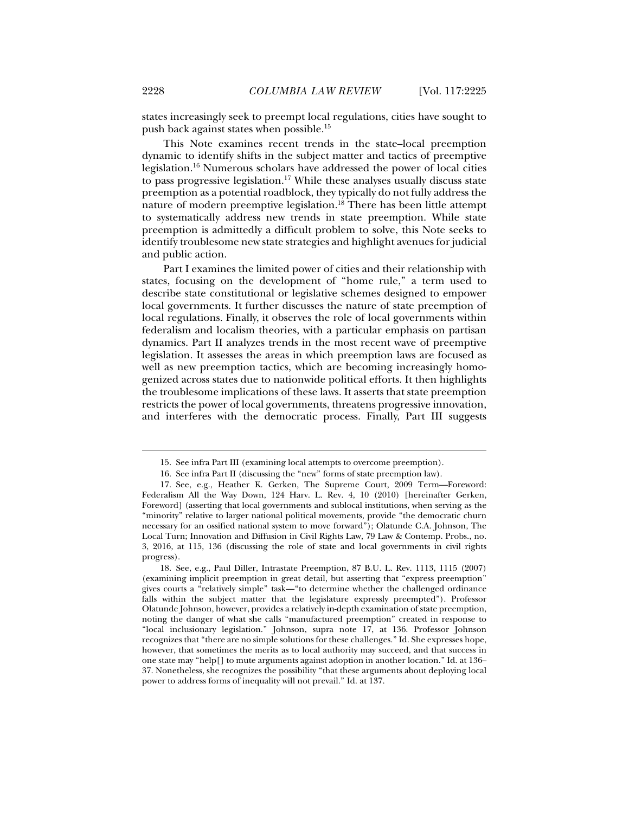states increasingly seek to preempt local regulations, cities have sought to push back against states when possible.15

This Note examines recent trends in the state–local preemption dynamic to identify shifts in the subject matter and tactics of preemptive legislation.16 Numerous scholars have addressed the power of local cities to pass progressive legislation.<sup>17</sup> While these analyses usually discuss state preemption as a potential roadblock, they typically do not fully address the nature of modern preemptive legislation.<sup>18</sup> There has been little attempt to systematically address new trends in state preemption. While state preemption is admittedly a difficult problem to solve, this Note seeks to identify troublesome new state strategies and highlight avenues for judicial and public action.

Part I examines the limited power of cities and their relationship with states, focusing on the development of "home rule," a term used to describe state constitutional or legislative schemes designed to empower local governments. It further discusses the nature of state preemption of local regulations. Finally, it observes the role of local governments within federalism and localism theories, with a particular emphasis on partisan dynamics. Part II analyzes trends in the most recent wave of preemptive legislation. It assesses the areas in which preemption laws are focused as well as new preemption tactics, which are becoming increasingly homogenized across states due to nationwide political efforts. It then highlights the troublesome implications of these laws. It asserts that state preemption restricts the power of local governments, threatens progressive innovation, and interferes with the democratic process. Finally, Part III suggests

 <sup>15.</sup> See infra Part III (examining local attempts to overcome preemption).

 <sup>16.</sup> See infra Part II (discussing the "new" forms of state preemption law).

 <sup>17.</sup> See, e.g., Heather K. Gerken, The Supreme Court, 2009 Term—Foreword: Federalism All the Way Down, 124 Harv. L. Rev. 4, 10 (2010) [hereinafter Gerken, Foreword] (asserting that local governments and sublocal institutions, when serving as the "minority" relative to larger national political movements, provide "the democratic churn necessary for an ossified national system to move forward"); Olatunde C.A. Johnson, The Local Turn; Innovation and Diffusion in Civil Rights Law, 79 Law & Contemp. Probs., no. 3, 2016, at 115, 136 (discussing the role of state and local governments in civil rights progress).

 <sup>18.</sup> See, e.g., Paul Diller, Intrastate Preemption, 87 B.U. L. Rev. 1113, 1115 (2007) (examining implicit preemption in great detail, but asserting that "express preemption" gives courts a "relatively simple" task—"to determine whether the challenged ordinance falls within the subject matter that the legislature expressly preempted"). Professor Olatunde Johnson, however, provides a relatively in-depth examination of state preemption, noting the danger of what she calls "manufactured preemption" created in response to "local inclusionary legislation." Johnson, supra note 17, at 136. Professor Johnson recognizes that "there are no simple solutions for these challenges." Id. She expresses hope, however, that sometimes the merits as to local authority may succeed, and that success in one state may "help[] to mute arguments against adoption in another location." Id. at 136– 37. Nonetheless, she recognizes the possibility "that these arguments about deploying local power to address forms of inequality will not prevail." Id. at 137.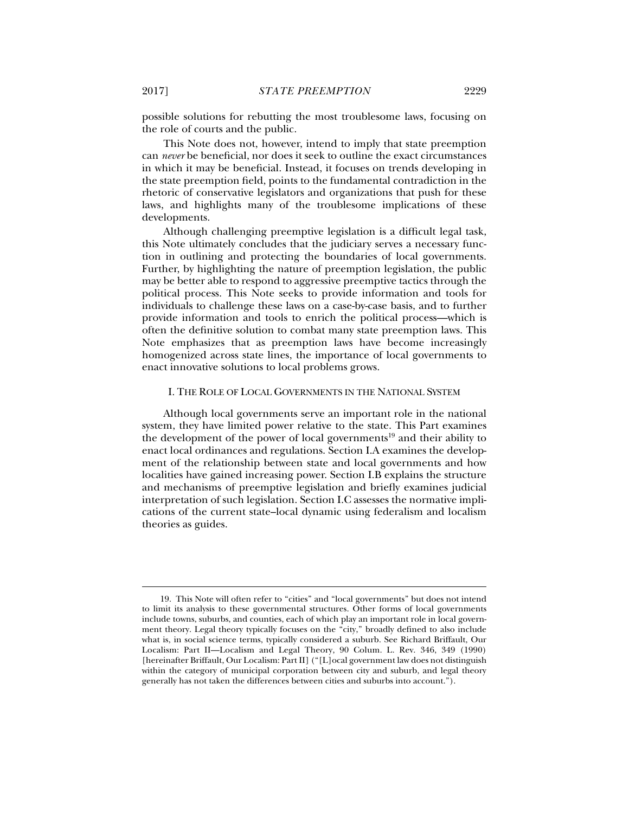possible solutions for rebutting the most troublesome laws, focusing on the role of courts and the public.

This Note does not, however, intend to imply that state preemption can *never* be beneficial, nor does it seek to outline the exact circumstances in which it may be beneficial. Instead, it focuses on trends developing in the state preemption field, points to the fundamental contradiction in the rhetoric of conservative legislators and organizations that push for these laws, and highlights many of the troublesome implications of these developments.

Although challenging preemptive legislation is a difficult legal task, this Note ultimately concludes that the judiciary serves a necessary function in outlining and protecting the boundaries of local governments. Further, by highlighting the nature of preemption legislation, the public may be better able to respond to aggressive preemptive tactics through the political process. This Note seeks to provide information and tools for individuals to challenge these laws on a case-by-case basis, and to further provide information and tools to enrich the political process—which is often the definitive solution to combat many state preemption laws. This Note emphasizes that as preemption laws have become increasingly homogenized across state lines, the importance of local governments to enact innovative solutions to local problems grows.

## I. THE ROLE OF LOCAL GOVERNMENTS IN THE NATIONAL SYSTEM

Although local governments serve an important role in the national system, they have limited power relative to the state. This Part examines the development of the power of local governments<sup>19</sup> and their ability to enact local ordinances and regulations. Section I.A examines the development of the relationship between state and local governments and how localities have gained increasing power. Section I.B explains the structure and mechanisms of preemptive legislation and briefly examines judicial interpretation of such legislation. Section I.C assesses the normative implications of the current state–local dynamic using federalism and localism theories as guides.

 <sup>19.</sup> This Note will often refer to "cities" and "local governments" but does not intend to limit its analysis to these governmental structures. Other forms of local governments include towns, suburbs, and counties, each of which play an important role in local government theory. Legal theory typically focuses on the "city," broadly defined to also include what is, in social science terms, typically considered a suburb. See Richard Briffault, Our Localism: Part II—Localism and Legal Theory, 90 Colum. L. Rev. 346, 349 (1990) [hereinafter Briffault, Our Localism: Part II] ("[L]ocal government law does not distinguish within the category of municipal corporation between city and suburb, and legal theory generally has not taken the differences between cities and suburbs into account.").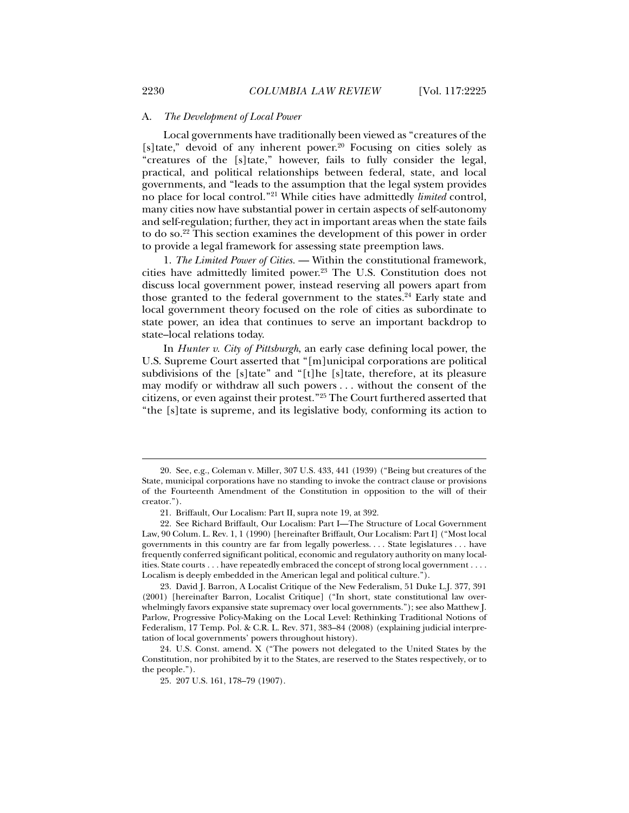#### A. *The Development of Local Power*

Local governments have traditionally been viewed as "creatures of the [s]tate," devoid of any inherent power. $20$  Focusing on cities solely as "creatures of the [s]tate," however, fails to fully consider the legal, practical, and political relationships between federal, state, and local governments, and "leads to the assumption that the legal system provides no place for local control."21 While cities have admittedly *limited* control, many cities now have substantial power in certain aspects of self-autonomy and self-regulation; further, they act in important areas when the state fails to do so.22 This section examines the development of this power in order to provide a legal framework for assessing state preemption laws.

1. *The Limited Power of Cities.* — Within the constitutional framework, cities have admittedly limited power.<sup>23</sup> The U.S. Constitution does not discuss local government power, instead reserving all powers apart from those granted to the federal government to the states.<sup>24</sup> Early state and local government theory focused on the role of cities as subordinate to state power, an idea that continues to serve an important backdrop to state–local relations today.

In *Hunter v. City of Pittsburgh*, an early case defining local power, the U.S. Supreme Court asserted that "[m]unicipal corporations are political subdivisions of the [s]tate" and "[t]he [s]tate, therefore, at its pleasure may modify or withdraw all such powers . . . without the consent of the citizens, or even against their protest."25 The Court furthered asserted that "the [s]tate is supreme, and its legislative body, conforming its action to

 <sup>20.</sup> See, e.g., Coleman v. Miller, 307 U.S. 433, 441 (1939) ("Being but creatures of the State, municipal corporations have no standing to invoke the contract clause or provisions of the Fourteenth Amendment of the Constitution in opposition to the will of their creator.").

 <sup>21.</sup> Briffault, Our Localism: Part II, supra note 19, at 392.

 <sup>22.</sup> See Richard Briffault, Our Localism: Part I—The Structure of Local Government Law, 90 Colum. L. Rev. 1, 1 (1990) [hereinafter Briffault, Our Localism: Part I] ("Most local governments in this country are far from legally powerless. . . . State legislatures . . . have frequently conferred significant political, economic and regulatory authority on many localities. State courts . . . have repeatedly embraced the concept of strong local government . . . . Localism is deeply embedded in the American legal and political culture.").

 <sup>23.</sup> David J. Barron, A Localist Critique of the New Federalism, 51 Duke L.J. 377, 391 (2001) [hereinafter Barron, Localist Critique] ("In short, state constitutional law overwhelmingly favors expansive state supremacy over local governments."); see also Matthew J. Parlow, Progressive Policy-Making on the Local Level: Rethinking Traditional Notions of Federalism, 17 Temp. Pol. & C.R. L. Rev. 371, 383–84 (2008) (explaining judicial interpretation of local governments' powers throughout history).

 <sup>24.</sup> U.S. Const. amend. X ("The powers not delegated to the United States by the Constitution, nor prohibited by it to the States, are reserved to the States respectively, or to the people.").

 <sup>25. 207</sup> U.S. 161, 178–79 (1907).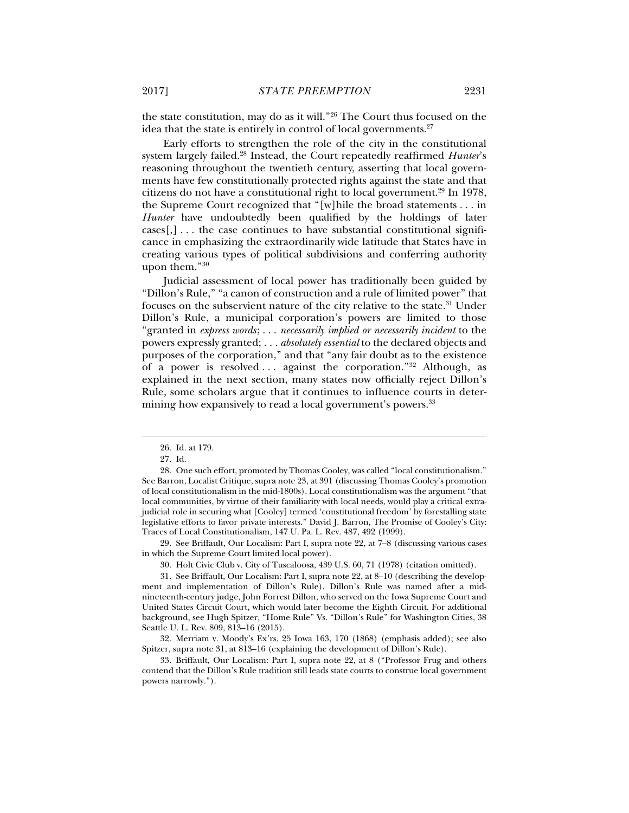the state constitution, may do as it will."26 The Court thus focused on the idea that the state is entirely in control of local governments.<sup>27</sup>

Early efforts to strengthen the role of the city in the constitutional system largely failed.28 Instead, the Court repeatedly reaffirmed *Hunter*'s reasoning throughout the twentieth century, asserting that local governments have few constitutionally protected rights against the state and that citizens do not have a constitutional right to local government.<sup>29</sup> In 1978, the Supreme Court recognized that "[w]hile the broad statements . . . in *Hunter* have undoubtedly been qualified by the holdings of later  $cases, ] \ldots$  the case continues to have substantial constitutional significance in emphasizing the extraordinarily wide latitude that States have in creating various types of political subdivisions and conferring authority upon them."30

Judicial assessment of local power has traditionally been guided by "Dillon's Rule," "a canon of construction and a rule of limited power" that focuses on the subservient nature of the city relative to the state.31 Under Dillon's Rule, a municipal corporation's powers are limited to those "granted in *express words*; . . . *necessarily implied or necessarily incident* to the powers expressly granted; . . . *absolutely essential* to the declared objects and purposes of the corporation," and that "any fair doubt as to the existence of a power is resolved ... against the corporation." $32$  Although, as explained in the next section, many states now officially reject Dillon's Rule, some scholars argue that it continues to influence courts in determining how expansively to read a local government's powers.<sup>33</sup>

j

 29. See Briffault, Our Localism: Part I, supra note 22, at 7–8 (discussing various cases in which the Supreme Court limited local power).

 32. Merriam v. Moody's Ex'rs, 25 Iowa 163, 170 (1868) (emphasis added); see also Spitzer, supra note 31, at 813–16 (explaining the development of Dillon's Rule).

 33. Briffault, Our Localism: Part I, supra note 22, at 8 ("Professor Frug and others contend that the Dillon's Rule tradition still leads state courts to construe local government powers narrowly.").

 <sup>26.</sup> Id. at 179.

 <sup>27.</sup> Id.

 <sup>28.</sup> One such effort, promoted by Thomas Cooley, was called "local constitutionalism." See Barron, Localist Critique, supra note 23, at 391 (discussing Thomas Cooley's promotion of local constitutionalism in the mid-1800s). Local constitutionalism was the argument "that local communities, by virtue of their familiarity with local needs, would play a critical extrajudicial role in securing what [Cooley] termed 'constitutional freedom' by forestalling state legislative efforts to favor private interests." David J. Barron, The Promise of Cooley's City: Traces of Local Constitutionalism, 147 U. Pa. L. Rev. 487, 492 (1999).

 <sup>30.</sup> Holt Civic Club v. City of Tuscaloosa, 439 U.S. 60, 71 (1978) (citation omitted).

 <sup>31.</sup> See Briffault, Our Localism: Part I, supra note 22, at 8–10 (describing the development and implementation of Dillon's Rule). Dillon's Rule was named after a midnineteenth-century judge, John Forrest Dillon, who served on the Iowa Supreme Court and United States Circuit Court, which would later become the Eighth Circuit. For additional background, see Hugh Spitzer, "Home Rule" Vs. "Dillon's Rule" for Washington Cities, 38 Seattle U. L. Rev. 809, 813–16 (2015).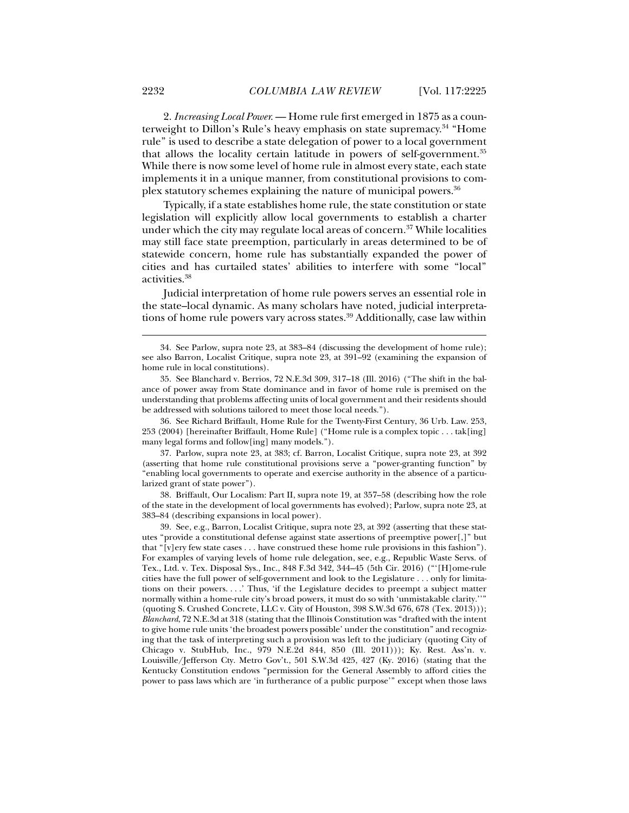2. *Increasing Local Power.* — Home rule first emerged in 1875 as a counterweight to Dillon's Rule's heavy emphasis on state supremacy.34 "Home rule" is used to describe a state delegation of power to a local government that allows the locality certain latitude in powers of self-government.35 While there is now some level of home rule in almost every state, each state implements it in a unique manner, from constitutional provisions to complex statutory schemes explaining the nature of municipal powers.36

Typically, if a state establishes home rule, the state constitution or state legislation will explicitly allow local governments to establish a charter under which the city may regulate local areas of concern.<sup>37</sup> While localities may still face state preemption, particularly in areas determined to be of statewide concern, home rule has substantially expanded the power of cities and has curtailed states' abilities to interfere with some "local" activities.38

Judicial interpretation of home rule powers serves an essential role in the state–local dynamic. As many scholars have noted, judicial interpretations of home rule powers vary across states.<sup>39</sup> Additionally, case law within

 36. See Richard Briffault, Home Rule for the Twenty-First Century, 36 Urb. Law. 253, 253 (2004) [hereinafter Briffault, Home Rule] ("Home rule is a complex topic . . . tak[ing] many legal forms and follow[ing] many models.").

 37. Parlow, supra note 23, at 383; cf. Barron, Localist Critique, supra note 23, at 392 (asserting that home rule constitutional provisions serve a "power-granting function" by "enabling local governments to operate and exercise authority in the absence of a particularized grant of state power").

 38. Briffault, Our Localism: Part II, supra note 19, at 357–58 (describing how the role of the state in the development of local governments has evolved); Parlow, supra note 23, at 383–84 (describing expansions in local power).

 39. See, e.g., Barron, Localist Critique, supra note 23, at 392 (asserting that these statutes "provide a constitutional defense against state assertions of preemptive power[,]" but that "[v]ery few state cases . . . have construed these home rule provisions in this fashion"). For examples of varying levels of home rule delegation, see, e.g., Republic Waste Servs. of Tex., Ltd. v. Tex. Disposal Sys., Inc., 848 F.3d 342, 344–45 (5th Cir. 2016) ("'[H]ome-rule cities have the full power of self-government and look to the Legislature . . . only for limitations on their powers. . . .' Thus, 'if the Legislature decides to preempt a subject matter normally within a home-rule city's broad powers, it must do so with 'unmistakable clarity.''" (quoting S. Crushed Concrete, LLC v. City of Houston, 398 S.W.3d 676, 678 (Tex. 2013))); *Blanchard*, 72 N.E.3d at 318 (stating that the Illinois Constitution was "drafted with the intent to give home rule units 'the broadest powers possible' under the constitution" and recognizing that the task of interpreting such a provision was left to the judiciary (quoting City of Chicago v. StubHub, Inc., 979 N.E.2d 844, 850 (Ill. 2011))); Ky. Rest. Ass'n. v. Louisville/Jefferson Cty. Metro Gov't., 501 S.W.3d 425, 427 (Ky. 2016) (stating that the Kentucky Constitution endows "permission for the General Assembly to afford cities the power to pass laws which are 'in furtherance of a public purpose'" except when those laws

 <sup>34.</sup> See Parlow, supra note 23, at 383–84 (discussing the development of home rule); see also Barron, Localist Critique, supra note 23, at 391–92 (examining the expansion of home rule in local constitutions).

 <sup>35.</sup> See Blanchard v. Berrios, 72 N.E.3d 309, 317–18 (Ill. 2016) ("The shift in the balance of power away from State dominance and in favor of home rule is premised on the understanding that problems affecting units of local government and their residents should be addressed with solutions tailored to meet those local needs.").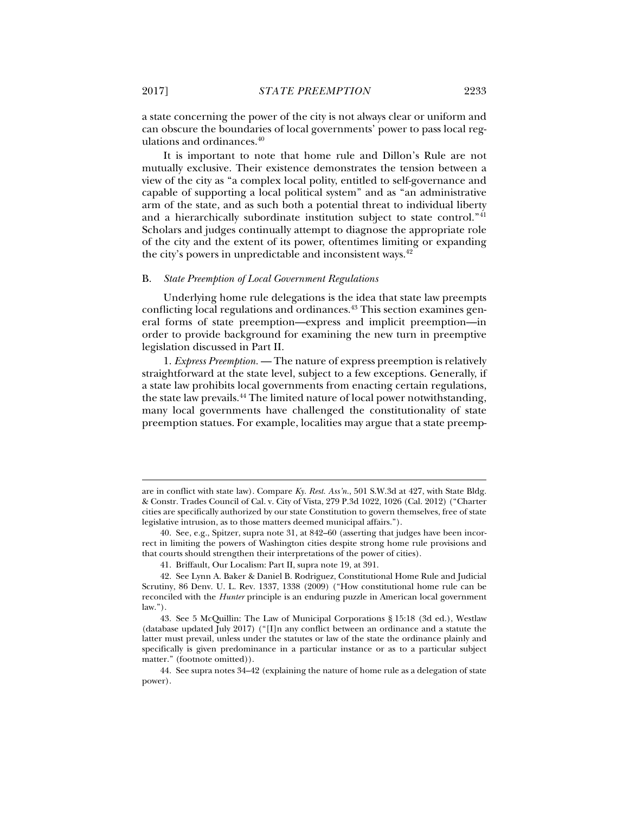a state concerning the power of the city is not always clear or uniform and can obscure the boundaries of local governments' power to pass local regulations and ordinances.40

It is important to note that home rule and Dillon's Rule are not mutually exclusive. Their existence demonstrates the tension between a view of the city as "a complex local polity, entitled to self-governance and capable of supporting a local political system" and as "an administrative arm of the state, and as such both a potential threat to individual liberty and a hierarchically subordinate institution subject to state control."41 Scholars and judges continually attempt to diagnose the appropriate role of the city and the extent of its power, oftentimes limiting or expanding the city's powers in unpredictable and inconsistent ways.<sup>42</sup>

## B. *State Preemption of Local Government Regulations*

Underlying home rule delegations is the idea that state law preempts conflicting local regulations and ordinances.<sup>43</sup> This section examines general forms of state preemption—express and implicit preemption—in order to provide background for examining the new turn in preemptive legislation discussed in Part II.

1. *Express Preemption.* — The nature of express preemption is relatively straightforward at the state level, subject to a few exceptions. Generally, if a state law prohibits local governments from enacting certain regulations, the state law prevails.44 The limited nature of local power notwithstanding, many local governments have challenged the constitutionality of state preemption statues. For example, localities may argue that a state preemp-

are in conflict with state law). Compare *Ky. Rest. Ass'n.*, 501 S.W.3d at 427, with State Bldg. & Constr. Trades Council of Cal. v. City of Vista, 279 P.3d 1022, 1026 (Cal. 2012) ("Charter cities are specifically authorized by our state Constitution to govern themselves, free of state legislative intrusion, as to those matters deemed municipal affairs.").

 <sup>40.</sup> See, e.g., Spitzer, supra note 31, at 842–60 (asserting that judges have been incorrect in limiting the powers of Washington cities despite strong home rule provisions and that courts should strengthen their interpretations of the power of cities).

 <sup>41.</sup> Briffault, Our Localism: Part II, supra note 19, at 391.

 <sup>42.</sup> See Lynn A. Baker & Daniel B. Rodriguez, Constitutional Home Rule and Judicial Scrutiny, 86 Denv. U. L. Rev. 1337, 1338 (2009) ("How constitutional home rule can be reconciled with the *Hunter* principle is an enduring puzzle in American local government law.").

 <sup>43.</sup> See 5 McQuillin: The Law of Municipal Corporations § 15:18 (3d ed.), Westlaw (database updated July 2017) ("[I]n any conflict between an ordinance and a statute the latter must prevail, unless under the statutes or law of the state the ordinance plainly and specifically is given predominance in a particular instance or as to a particular subject matter." (footnote omitted)).

 <sup>44.</sup> See supra notes 34–42 (explaining the nature of home rule as a delegation of state power).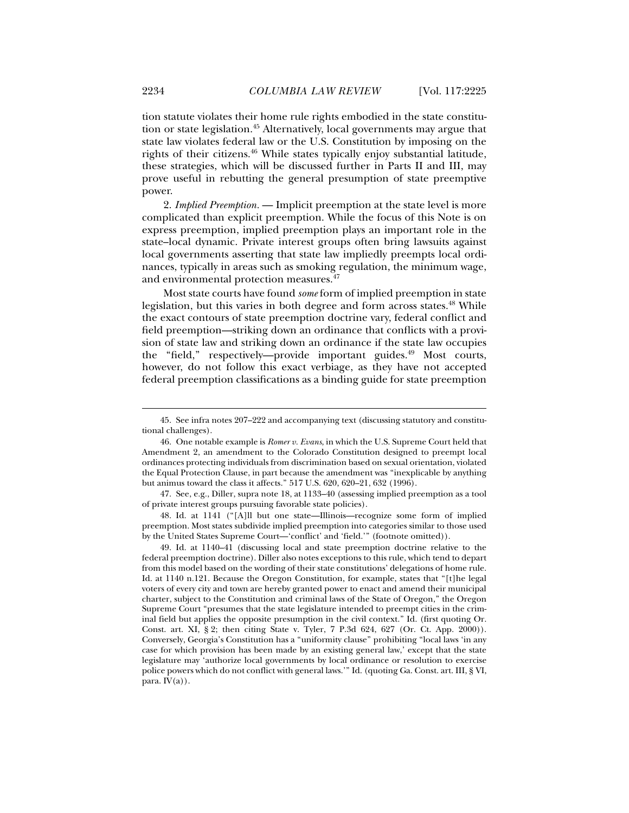tion statute violates their home rule rights embodied in the state constitution or state legislation.<sup>45</sup> Alternatively, local governments may argue that state law violates federal law or the U.S. Constitution by imposing on the rights of their citizens.46 While states typically enjoy substantial latitude, these strategies, which will be discussed further in Parts II and III, may prove useful in rebutting the general presumption of state preemptive power.

2. *Implied Preemption.* — Implicit preemption at the state level is more complicated than explicit preemption. While the focus of this Note is on express preemption, implied preemption plays an important role in the state–local dynamic. Private interest groups often bring lawsuits against local governments asserting that state law impliedly preempts local ordinances, typically in areas such as smoking regulation, the minimum wage, and environmental protection measures.<sup>47</sup>

Most state courts have found *some* form of implied preemption in state legislation, but this varies in both degree and form across states.<sup>48</sup> While the exact contours of state preemption doctrine vary, federal conflict and field preemption—striking down an ordinance that conflicts with a provision of state law and striking down an ordinance if the state law occupies the "field," respectively—provide important guides.<sup>49</sup> Most courts, however, do not follow this exact verbiage, as they have not accepted federal preemption classifications as a binding guide for state preemption

 48. Id. at 1141 ("[A]ll but one state—Illinois—recognize some form of implied preemption. Most states subdivide implied preemption into categories similar to those used by the United States Supreme Court—'conflict' and 'field.'" (footnote omitted)).

 49. Id. at 1140–41 (discussing local and state preemption doctrine relative to the federal preemption doctrine). Diller also notes exceptions to this rule, which tend to depart from this model based on the wording of their state constitutions' delegations of home rule. Id. at 1140 n.121. Because the Oregon Constitution, for example, states that "[t]he legal voters of every city and town are hereby granted power to enact and amend their municipal charter, subject to the Constitution and criminal laws of the State of Oregon," the Oregon Supreme Court "presumes that the state legislature intended to preempt cities in the criminal field but applies the opposite presumption in the civil context." Id. (first quoting Or. Const. art. XI, § 2; then citing State v. Tyler, 7 P.3d 624, 627 (Or. Ct. App. 2000)). Conversely, Georgia's Constitution has a "uniformity clause" prohibiting "local laws 'in any case for which provision has been made by an existing general law,' except that the state legislature may 'authorize local governments by local ordinance or resolution to exercise police powers which do not conflict with general laws.'" Id. (quoting Ga. Const. art. III, § VI, para.  $IV(a)$ ).

 <sup>45.</sup> See infra notes 207–222 and accompanying text (discussing statutory and constitutional challenges).

 <sup>46.</sup> One notable example is *Romer v. Evans*, in which the U.S. Supreme Court held that Amendment 2, an amendment to the Colorado Constitution designed to preempt local ordinances protecting individuals from discrimination based on sexual orientation, violated the Equal Protection Clause, in part because the amendment was "inexplicable by anything but animus toward the class it affects." 517 U.S. 620, 620–21, 632 (1996).

 <sup>47.</sup> See, e.g., Diller, supra note 18, at 1133–40 (assessing implied preemption as a tool of private interest groups pursuing favorable state policies).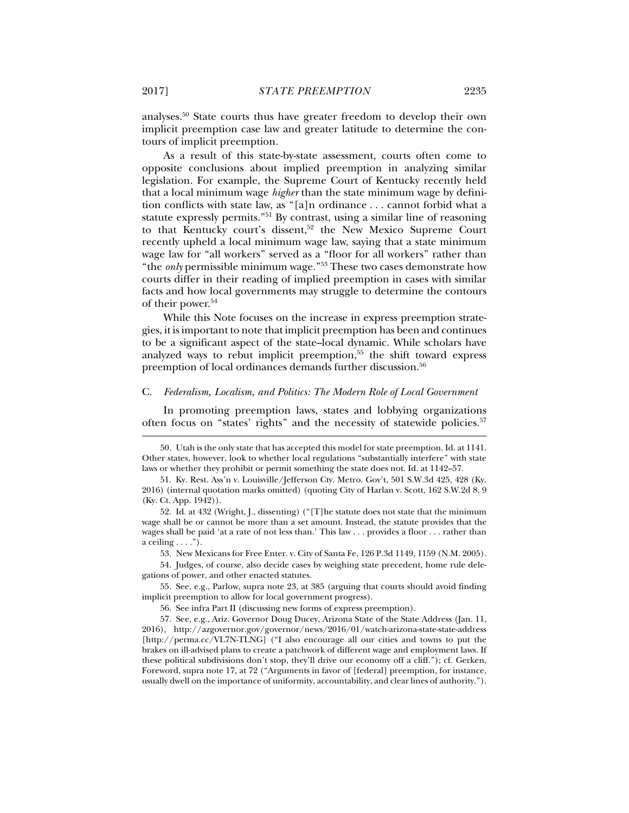analyses.50 State courts thus have greater freedom to develop their own implicit preemption case law and greater latitude to determine the contours of implicit preemption.

As a result of this state-by-state assessment, courts often come to opposite conclusions about implied preemption in analyzing similar legislation. For example, the Supreme Court of Kentucky recently held that a local minimum wage *higher* than the state minimum wage by definition conflicts with state law, as "[a]n ordinance . . . cannot forbid what a statute expressly permits."51 By contrast, using a similar line of reasoning to that Kentucky court's dissent,<sup>52</sup> the New Mexico Supreme Court recently upheld a local minimum wage law, saying that a state minimum wage law for "all workers" served as a "floor for all workers" rather than "the *only* permissible minimum wage."53 These two cases demonstrate how courts differ in their reading of implied preemption in cases with similar facts and how local governments may struggle to determine the contours of their power.<sup>54</sup>

While this Note focuses on the increase in express preemption strategies, it is important to note that implicit preemption has been and continues to be a significant aspect of the state–local dynamic. While scholars have analyzed ways to rebut implicit preemption,<sup>55</sup> the shift toward express preemption of local ordinances demands further discussion.<sup>56</sup>

#### C. *Federalism, Localism, and Politics: The Modern Role of Local Government*

In promoting preemption laws, states and lobbying organizations often focus on "states' rights" and the necessity of statewide policies.57

53. New Mexicans for Free Enter. v. City of Santa Fe, 126 P.3d 1149, 1159 (N.M. 2005).

 54. Judges, of course, also decide cases by weighing state precedent, home rule delegations of power, and other enacted statutes.

 55. See, e.g., Parlow, supra note 23, at 385 (arguing that courts should avoid finding implicit preemption to allow for local government progress).

 <sup>50.</sup> Utah is the only state that has accepted this model for state preemption. Id. at 1141. Other states, however, look to whether local regulations "substantially interfere" with state laws or whether they prohibit or permit something the state does not. Id. at 1142–57.

 <sup>51.</sup> Ky. Rest. Ass'n v. Louisville/Jefferson Cty. Metro. Gov't, 501 S.W.3d 425, 428 (Ky. 2016) (internal quotation marks omitted) (quoting City of Harlan v. Scott, 162 S.W.2d 8, 9 (Ky. Ct. App. 1942)).

 <sup>52.</sup> Id. at 432 (Wright, J., dissenting) ("[T]he statute does not state that the minimum wage shall be or cannot be more than a set amount. Instead, the statute provides that the wages shall be paid 'at a rate of not less than.' This law . . . provides a floor . . . rather than a ceiling  $\dots$ ").

 <sup>56.</sup> See infra Part II (discussing new forms of express preemption).

 <sup>57.</sup> See, e.g., Ariz. Governor Doug Ducey, Arizona State of the State Address (Jan. 11, 2016), http://azgovernor.gov/governor/news/2016/01/watch-arizona-state-state-address [http://perma.cc/VL7N-TLNG] ("I also encourage all our cities and towns to put the brakes on ill-advised plans to create a patchwork of different wage and employment laws. If these political subdivisions don't stop, they'll drive our economy off a cliff."); cf. Gerken, Foreword, supra note 17, at 72 ("Arguments in favor of [federal] preemption, for instance, usually dwell on the importance of uniformity, accountability, and clear lines of authority.").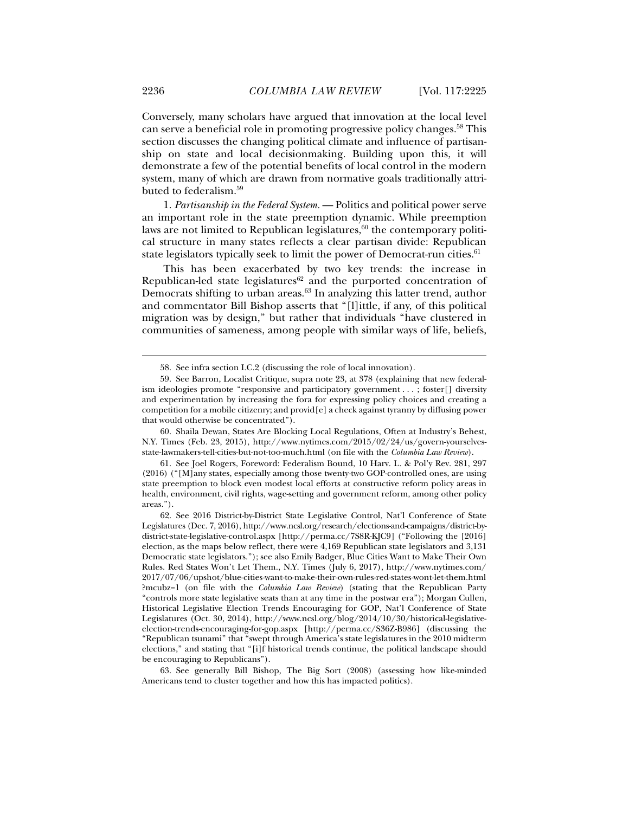Conversely, many scholars have argued that innovation at the local level can serve a beneficial role in promoting progressive policy changes.58 This section discusses the changing political climate and influence of partisanship on state and local decisionmaking. Building upon this, it will demonstrate a few of the potential benefits of local control in the modern system, many of which are drawn from normative goals traditionally attributed to federalism.59

1. *Partisanship in the Federal System.* — Politics and political power serve an important role in the state preemption dynamic. While preemption laws are not limited to Republican legislatures, $60$  the contemporary political structure in many states reflects a clear partisan divide: Republican state legislators typically seek to limit the power of Democrat-run cities.<sup>61</sup>

This has been exacerbated by two key trends: the increase in Republican-led state legislatures $62$  and the purported concentration of Democrats shifting to urban areas.63 In analyzing this latter trend, author and commentator Bill Bishop asserts that "[l]ittle, if any, of this political migration was by design," but rather that individuals "have clustered in communities of sameness, among people with similar ways of life, beliefs,

 <sup>58.</sup> See infra section I.C.2 (discussing the role of local innovation).

 <sup>59.</sup> See Barron, Localist Critique, supra note 23, at 378 (explaining that new federalism ideologies promote "responsive and participatory government . . . ; foster[] diversity and experimentation by increasing the fora for expressing policy choices and creating a competition for a mobile citizenry; and provid[e] a check against tyranny by diffusing power that would otherwise be concentrated").

 <sup>60.</sup> Shaila Dewan, States Are Blocking Local Regulations, Often at Industry's Behest, N.Y. Times (Feb. 23, 2015), http://www.nytimes.com/2015/02/24/us/govern-yourselvesstate-lawmakers-tell-cities-but-not-too-much.html (on file with the *Columbia Law Review*).

 <sup>61.</sup> See Joel Rogers, Foreword: Federalism Bound, 10 Harv. L. & Pol'y Rev. 281, 297 (2016) ("[M]any states, especially among those twenty-two GOP-controlled ones, are using state preemption to block even modest local efforts at constructive reform policy areas in health, environment, civil rights, wage-setting and government reform, among other policy areas.").

 <sup>62.</sup> See 2016 District-by-District State Legislative Control, Nat'l Conference of State Legislatures (Dec. 7, 2016), http://www.ncsl.org/research/elections-and-campaigns/district-bydistrict-state-legislative-control.aspx [http://perma.cc/7S8R-KJC9] ("Following the [2016] election, as the maps below reflect, there were 4,169 Republican state legislators and 3,131 Democratic state legislators."); see also Emily Badger, Blue Cities Want to Make Their Own Rules. Red States Won't Let Them., N.Y. Times (July 6, 2017), http://www.nytimes.com/ 2017/07/06/upshot/blue-cities-want-to-make-their-own-rules-red-states-wont-let-them.html ?mcubz=1 (on file with the *Columbia Law Review*) (stating that the Republican Party "controls more state legislative seats than at any time in the postwar era"); Morgan Cullen, Historical Legislative Election Trends Encouraging for GOP, Nat'l Conference of State Legislatures (Oct. 30, 2014), http://www.ncsl.org/blog/2014/10/30/historical-legislativeelection-trends-encouraging-for-gop.aspx [http://perma.cc/S36Z-B986] (discussing the "Republican tsunami" that "swept through America's state legislatures in the 2010 midterm elections," and stating that "[i]f historical trends continue, the political landscape should be encouraging to Republicans").

 <sup>63.</sup> See generally Bill Bishop, The Big Sort (2008) (assessing how like-minded Americans tend to cluster together and how this has impacted politics).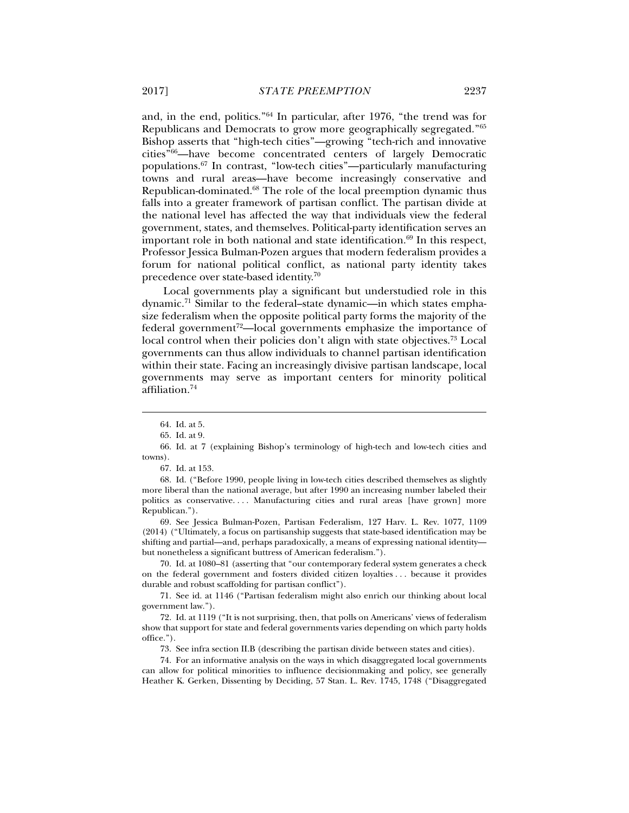and, in the end, politics."64 In particular, after 1976, "the trend was for Republicans and Democrats to grow more geographically segregated."65 Bishop asserts that "high-tech cities"—growing "tech-rich and innovative cities"66—have become concentrated centers of largely Democratic populations.67 In contrast, "low-tech cities"—particularly manufacturing towns and rural areas—have become increasingly conservative and Republican-dominated.68 The role of the local preemption dynamic thus falls into a greater framework of partisan conflict. The partisan divide at the national level has affected the way that individuals view the federal government, states, and themselves. Political-party identification serves an important role in both national and state identification.<sup>69</sup> In this respect, Professor Jessica Bulman-Pozen argues that modern federalism provides a forum for national political conflict, as national party identity takes precedence over state-based identity.70

Local governments play a significant but understudied role in this dynamic.71 Similar to the federal–state dynamic—in which states emphasize federalism when the opposite political party forms the majority of the federal government<sup>72</sup>—local governments emphasize the importance of local control when their policies don't align with state objectives.<sup>73</sup> Local governments can thus allow individuals to channel partisan identification within their state. Facing an increasingly divisive partisan landscape, local governments may serve as important centers for minority political affiliation.74

j

 69. See Jessica Bulman-Pozen, Partisan Federalism, 127 Harv. L. Rev. 1077, 1109 (2014) ("Ultimately, a focus on partisanship suggests that state-based identification may be shifting and partial—and, perhaps paradoxically, a means of expressing national identity but nonetheless a significant buttress of American federalism.").

 70. Id. at 1080–81 (asserting that "our contemporary federal system generates a check on the federal government and fosters divided citizen loyalties . . . because it provides durable and robust scaffolding for partisan conflict").

 71. See id. at 1146 ("Partisan federalism might also enrich our thinking about local government law.").

 72. Id. at 1119 ("It is not surprising, then, that polls on Americans' views of federalism show that support for state and federal governments varies depending on which party holds office.").

73. See infra section II.B (describing the partisan divide between states and cities).

 74. For an informative analysis on the ways in which disaggregated local governments can allow for political minorities to influence decisionmaking and policy, see generally Heather K. Gerken, Dissenting by Deciding, 57 Stan. L. Rev. 1745, 1748 ("Disaggregated

 <sup>64.</sup> Id. at 5.

 <sup>65.</sup> Id. at 9.

 <sup>66.</sup> Id. at 7 (explaining Bishop's terminology of high-tech and low-tech cities and towns).

 <sup>67.</sup> Id. at 153.

 <sup>68.</sup> Id. ("Before 1990, people living in low-tech cities described themselves as slightly more liberal than the national average, but after 1990 an increasing number labeled their politics as conservative.... Manufacturing cities and rural areas [have grown] more Republican.").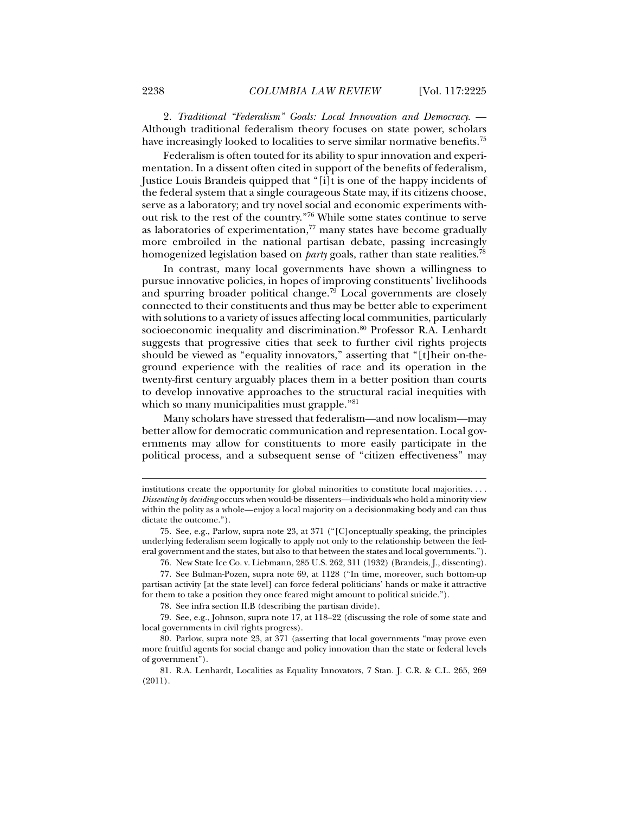2. *Traditional "Federalism" Goals: Local Innovation and Democracy.* — Although traditional federalism theory focuses on state power, scholars have increasingly looked to localities to serve similar normative benefits.<sup>75</sup>

Federalism is often touted for its ability to spur innovation and experimentation. In a dissent often cited in support of the benefits of federalism, Justice Louis Brandeis quipped that "[i]t is one of the happy incidents of the federal system that a single courageous State may, if its citizens choose, serve as a laboratory; and try novel social and economic experiments without risk to the rest of the country."76 While some states continue to serve as laboratories of experimentation, $77$  many states have become gradually more embroiled in the national partisan debate, passing increasingly homogenized legislation based on *party* goals, rather than state realities.78

In contrast, many local governments have shown a willingness to pursue innovative policies, in hopes of improving constituents' livelihoods and spurring broader political change.<sup>79</sup> Local governments are closely connected to their constituents and thus may be better able to experiment with solutions to a variety of issues affecting local communities, particularly socioeconomic inequality and discrimination.<sup>80</sup> Professor R.A. Lenhardt suggests that progressive cities that seek to further civil rights projects should be viewed as "equality innovators," asserting that "[t]heir on-theground experience with the realities of race and its operation in the twenty-first century arguably places them in a better position than courts to develop innovative approaches to the structural racial inequities with which so many municipalities must grapple."<sup>81</sup>

Many scholars have stressed that federalism—and now localism—may better allow for democratic communication and representation. Local governments may allow for constituents to more easily participate in the political process, and a subsequent sense of "citizen effectiveness" may

76. New State Ice Co. v. Liebmann, 285 U.S. 262, 311 (1932) (Brandeis, J., dissenting).

 79. See, e.g., Johnson, supra note 17, at 118–22 (discussing the role of some state and local governments in civil rights progress).

institutions create the opportunity for global minorities to constitute local majorities. . . . *Dissenting by deciding* occurs when would-be dissenters—individuals who hold a minority view within the polity as a whole—enjoy a local majority on a decisionmaking body and can thus dictate the outcome.").

 <sup>75.</sup> See, e.g., Parlow, supra note 23, at 371 ("[C]onceptually speaking, the principles underlying federalism seem logically to apply not only to the relationship between the federal government and the states, but also to that between the states and local governments.").

 <sup>77.</sup> See Bulman-Pozen, supra note 69, at 1128 ("In time, moreover, such bottom-up partisan activity [at the state level] can force federal politicians' hands or make it attractive for them to take a position they once feared might amount to political suicide.").

 <sup>78.</sup> See infra section II.B (describing the partisan divide).

 <sup>80.</sup> Parlow, supra note 23, at 371 (asserting that local governments "may prove even more fruitful agents for social change and policy innovation than the state or federal levels of government").

 <sup>81.</sup> R.A. Lenhardt, Localities as Equality Innovators, 7 Stan. J. C.R. & C.L. 265, 269 (2011).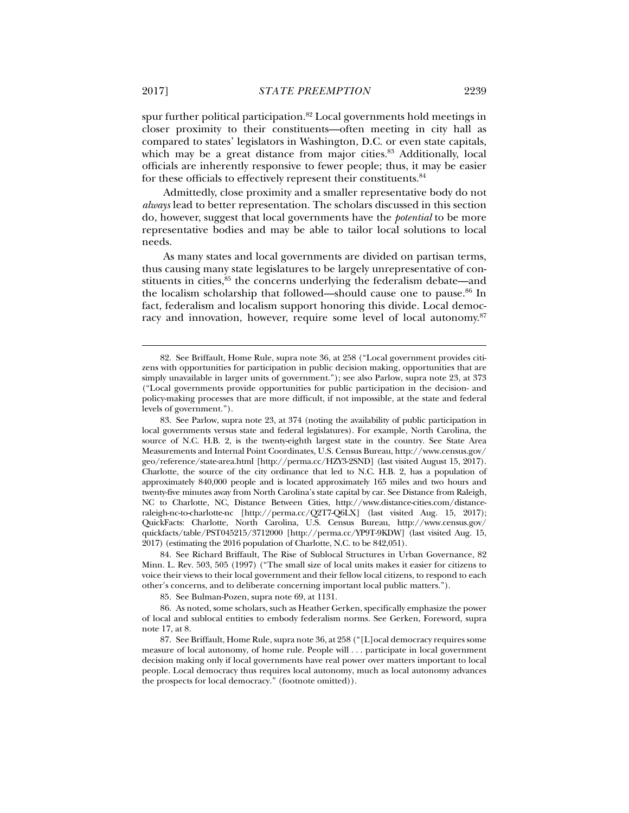spur further political participation.<sup>82</sup> Local governments hold meetings in closer proximity to their constituents—often meeting in city hall as compared to states' legislators in Washington, D.C. or even state capitals, which may be a great distance from major cities.<sup>83</sup> Additionally, local officials are inherently responsive to fewer people; thus, it may be easier for these officials to effectively represent their constituents.<sup>84</sup>

Admittedly, close proximity and a smaller representative body do not *always* lead to better representation. The scholars discussed in this section do, however, suggest that local governments have the *potential* to be more representative bodies and may be able to tailor local solutions to local needs.

As many states and local governments are divided on partisan terms, thus causing many state legislatures to be largely unrepresentative of constituents in cities,<sup>85</sup> the concerns underlying the federalism debate—and the localism scholarship that followed—should cause one to pause.<sup>86</sup> In fact, federalism and localism support honoring this divide. Local democracy and innovation, however, require some level of local autonomy.<sup>87</sup>

 84. See Richard Briffault, The Rise of Sublocal Structures in Urban Governance, 82 Minn. L. Rev. 503, 505 (1997) ("The small size of local units makes it easier for citizens to voice their views to their local government and their fellow local citizens, to respond to each other's concerns, and to deliberate concerning important local public matters.").

85. See Bulman-Pozen, supra note 69, at 1131.

 <sup>82.</sup> See Briffault, Home Rule, supra note 36, at 258 ("Local government provides citizens with opportunities for participation in public decision making, opportunities that are simply unavailable in larger units of government."); see also Parlow, supra note 23, at 373 ("Local governments provide opportunities for public participation in the decision- and policy-making processes that are more difficult, if not impossible, at the state and federal levels of government.").

 <sup>83.</sup> See Parlow, supra note 23, at 374 (noting the availability of public participation in local governments versus state and federal legislatures). For example, North Carolina, the source of N.C. H.B. 2, is the twenty-eighth largest state in the country. See State Area Measurements and Internal Point Coordinates, U.S. Census Bureau, http://www.census.gov/ geo/reference/state-area.html [http://perma.cc/HZY3-2SND] (last visited August 15, 2017). Charlotte, the source of the city ordinance that led to N.C. H.B. 2, has a population of approximately 840,000 people and is located approximately 165 miles and two hours and twenty-five minutes away from North Carolina's state capital by car. See Distance from Raleigh, NC to Charlotte, NC, Distance Between Cities, http://www.distance-cities.com/distanceraleigh-nc-to-charlotte-nc [http://perma.cc/Q2T7-Q6LX] (last visited Aug. 15, 2017); QuickFacts: Charlotte, North Carolina, U.S. Census Bureau, http://www.census.gov/ quickfacts/table/PST045215/3712000 [http://perma.cc/YP9T-9KDW] (last visited Aug. 15, 2017) (estimating the 2016 population of Charlotte, N.C. to be 842,051).

 <sup>86.</sup> As noted, some scholars, such as Heather Gerken, specifically emphasize the power of local and sublocal entities to embody federalism norms. See Gerken, Foreword, supra note 17, at 8.

 <sup>87.</sup> See Briffault, Home Rule, supra note 36, at 258 ("[L]ocal democracy requires some measure of local autonomy, of home rule. People will . . . participate in local government decision making only if local governments have real power over matters important to local people. Local democracy thus requires local autonomy, much as local autonomy advances the prospects for local democracy." (footnote omitted)).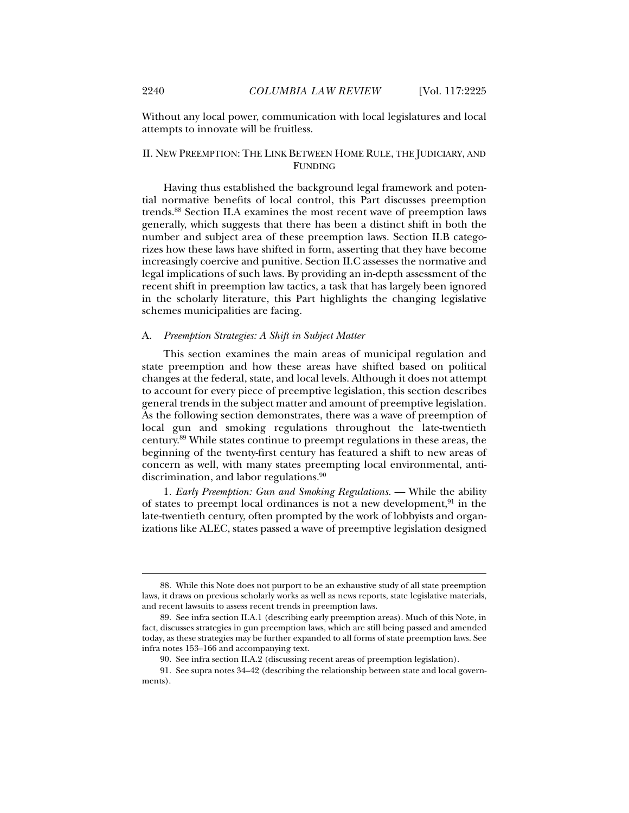Without any local power, communication with local legislatures and local attempts to innovate will be fruitless.

## II. NEW PREEMPTION: THE LINK BETWEEN HOME RULE, THE JUDICIARY, AND FUNDING

Having thus established the background legal framework and potential normative benefits of local control, this Part discusses preemption trends.88 Section II.A examines the most recent wave of preemption laws generally, which suggests that there has been a distinct shift in both the number and subject area of these preemption laws. Section II.B categorizes how these laws have shifted in form, asserting that they have become increasingly coercive and punitive. Section II.C assesses the normative and legal implications of such laws. By providing an in-depth assessment of the recent shift in preemption law tactics, a task that has largely been ignored in the scholarly literature, this Part highlights the changing legislative schemes municipalities are facing.

## A. *Preemption Strategies: A Shift in Subject Matter*

This section examines the main areas of municipal regulation and state preemption and how these areas have shifted based on political changes at the federal, state, and local levels. Although it does not attempt to account for every piece of preemptive legislation, this section describes general trends in the subject matter and amount of preemptive legislation. As the following section demonstrates, there was a wave of preemption of local gun and smoking regulations throughout the late-twentieth century.89 While states continue to preempt regulations in these areas, the beginning of the twenty-first century has featured a shift to new areas of concern as well, with many states preempting local environmental, antidiscrimination, and labor regulations.<sup>90</sup>

1. *Early Preemption: Gun and Smoking Regulations.* — While the ability of states to preempt local ordinances is not a new development, $91$  in the late-twentieth century, often prompted by the work of lobbyists and organizations like ALEC, states passed a wave of preemptive legislation designed

 <sup>88.</sup> While this Note does not purport to be an exhaustive study of all state preemption laws, it draws on previous scholarly works as well as news reports, state legislative materials, and recent lawsuits to assess recent trends in preemption laws.

 <sup>89.</sup> See infra section II.A.1 (describing early preemption areas). Much of this Note, in fact, discusses strategies in gun preemption laws, which are still being passed and amended today, as these strategies may be further expanded to all forms of state preemption laws. See infra notes 153–166 and accompanying text.

 <sup>90.</sup> See infra section II.A.2 (discussing recent areas of preemption legislation).

 <sup>91.</sup> See supra notes 34–42 (describing the relationship between state and local governments).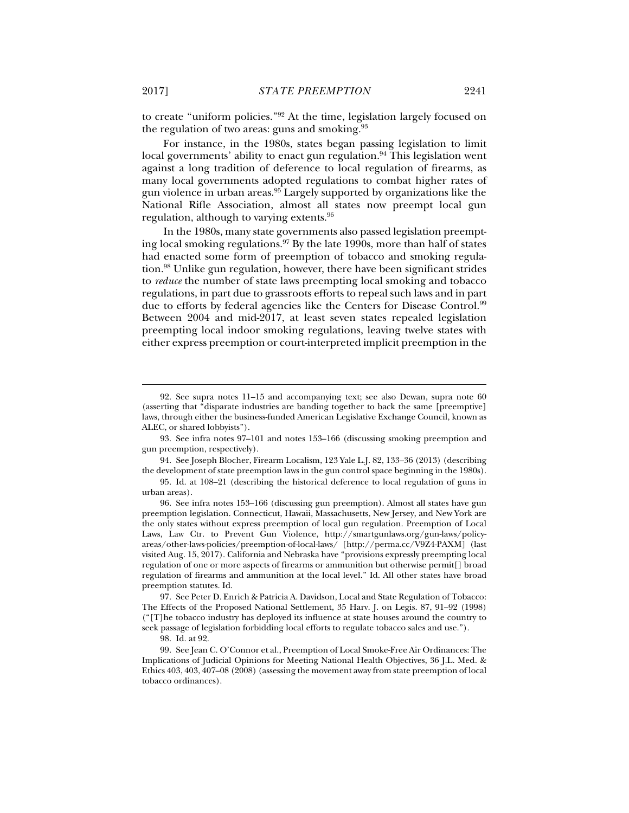to create "uniform policies."92 At the time, legislation largely focused on the regulation of two areas: guns and smoking.<sup>93</sup>

For instance, in the 1980s, states began passing legislation to limit local governments' ability to enact gun regulation.<sup>94</sup> This legislation went against a long tradition of deference to local regulation of firearms, as many local governments adopted regulations to combat higher rates of gun violence in urban areas.95 Largely supported by organizations like the National Rifle Association, almost all states now preempt local gun regulation, although to varying extents.96

In the 1980s, many state governments also passed legislation preempting local smoking regulations.97 By the late 1990s, more than half of states had enacted some form of preemption of tobacco and smoking regulation.98 Unlike gun regulation, however, there have been significant strides to *reduce* the number of state laws preempting local smoking and tobacco regulations, in part due to grassroots efforts to repeal such laws and in part due to efforts by federal agencies like the Centers for Disease Control.99 Between 2004 and mid-2017, at least seven states repealed legislation preempting local indoor smoking regulations, leaving twelve states with either express preemption or court-interpreted implicit preemption in the

 <sup>92.</sup> See supra notes 11–15 and accompanying text; see also Dewan, supra note 60 (asserting that "disparate industries are banding together to back the same [preemptive] laws, through either the business-funded American Legislative Exchange Council, known as ALEC, or shared lobbyists").

 <sup>93.</sup> See infra notes 97–101 and notes 153–166 (discussing smoking preemption and gun preemption, respectively).

 <sup>94.</sup> See Joseph Blocher, Firearm Localism, 123 Yale L.J. 82, 133–36 (2013) (describing the development of state preemption laws in the gun control space beginning in the 1980s).

 <sup>95.</sup> Id. at 108–21 (describing the historical deference to local regulation of guns in urban areas).

 <sup>96.</sup> See infra notes 153–166 (discussing gun preemption). Almost all states have gun preemption legislation. Connecticut, Hawaii, Massachusetts, New Jersey, and New York are the only states without express preemption of local gun regulation. Preemption of Local Laws, Law Ctr. to Prevent Gun Violence, http://smartgunlaws.org/gun-laws/policyareas/other-laws-policies/preemption-of-local-laws/ [http://perma.cc/V9Z4-PAXM] (last visited Aug. 15, 2017). California and Nebraska have "provisions expressly preempting local regulation of one or more aspects of firearms or ammunition but otherwise permit[] broad regulation of firearms and ammunition at the local level." Id. All other states have broad preemption statutes. Id.

 <sup>97.</sup> See Peter D. Enrich & Patricia A. Davidson, Local and State Regulation of Tobacco: The Effects of the Proposed National Settlement, 35 Harv. J. on Legis. 87, 91–92 (1998) ("[T]he tobacco industry has deployed its influence at state houses around the country to seek passage of legislation forbidding local efforts to regulate tobacco sales and use.").

 <sup>98.</sup> Id. at 92.

 <sup>99.</sup> See Jean C. O'Connor et al., Preemption of Local Smoke-Free Air Ordinances: The Implications of Judicial Opinions for Meeting National Health Objectives, 36 J.L. Med. & Ethics 403, 403, 407–08 (2008) (assessing the movement away from state preemption of local tobacco ordinances).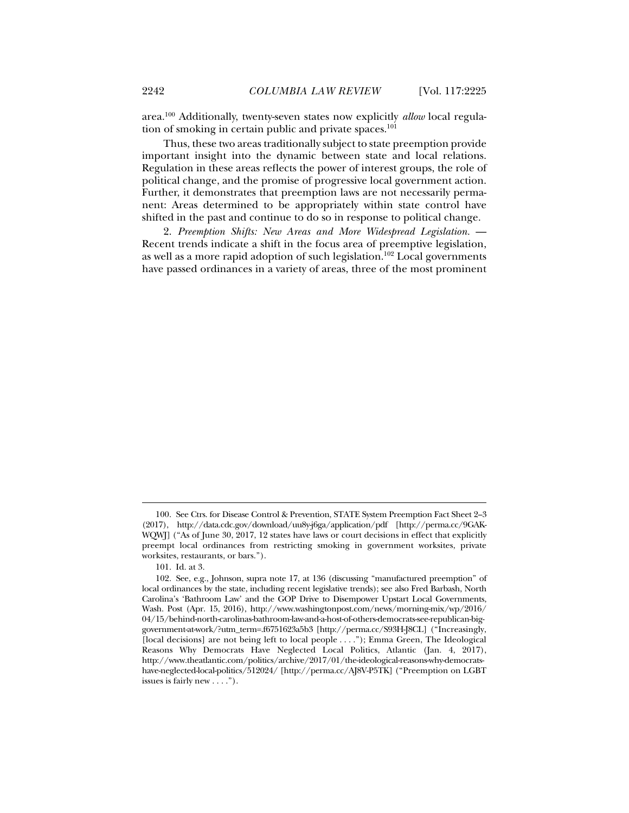area.100 Additionally, twenty-seven states now explicitly *allow* local regulation of smoking in certain public and private spaces.<sup>101</sup>

Thus, these two areas traditionally subject to state preemption provide important insight into the dynamic between state and local relations. Regulation in these areas reflects the power of interest groups, the role of political change, and the promise of progressive local government action. Further, it demonstrates that preemption laws are not necessarily permanent: Areas determined to be appropriately within state control have shifted in the past and continue to do so in response to political change.

2. *Preemption Shifts: New Areas and More Widespread Legislation.* — Recent trends indicate a shift in the focus area of preemptive legislation, as well as a more rapid adoption of such legislation.102 Local governments have passed ordinances in a variety of areas, three of the most prominent

 <sup>100.</sup> See Ctrs. for Disease Control & Prevention, STATE System Preemption Fact Sheet 2–3 (2017), http://data.cdc.gov/download/uu8y-j6ga/application/pdf [http://perma.cc/9GAK-WQWJ] ("As of June 30, 2017, 12 states have laws or court decisions in effect that explicitly preempt local ordinances from restricting smoking in government worksites, private worksites, restaurants, or bars.").

 <sup>101.</sup> Id. at 3.

 <sup>102.</sup> See, e.g., Johnson, supra note 17, at 136 (discussing "manufactured preemption" of local ordinances by the state, including recent legislative trends); see also Fred Barbash, North Carolina's 'Bathroom Law' and the GOP Drive to Disempower Upstart Local Governments, Wash. Post (Apr. 15, 2016), http://www.washingtonpost.com/news/morning-mix/wp/2016/ 04/15/behind-north-carolinas-bathroom-law-and-a-host-of-others-democrats-see-republican-biggovernment-at-work/?utm\_term=.f6751623a5b3 [http://perma.cc/S93H-J8CL] ("Increasingly, [local decisions] are not being left to local people . . . ."); Emma Green, The Ideological Reasons Why Democrats Have Neglected Local Politics, Atlantic (Jan. 4, 2017), http://www.theatlantic.com/politics/archive/2017/01/the-ideological-reasons-why-democratshave-neglected-local-politics/512024/ [http://perma.cc/AJ8V-P5TK] ("Preemption on LGBT issues is fairly new . . . .").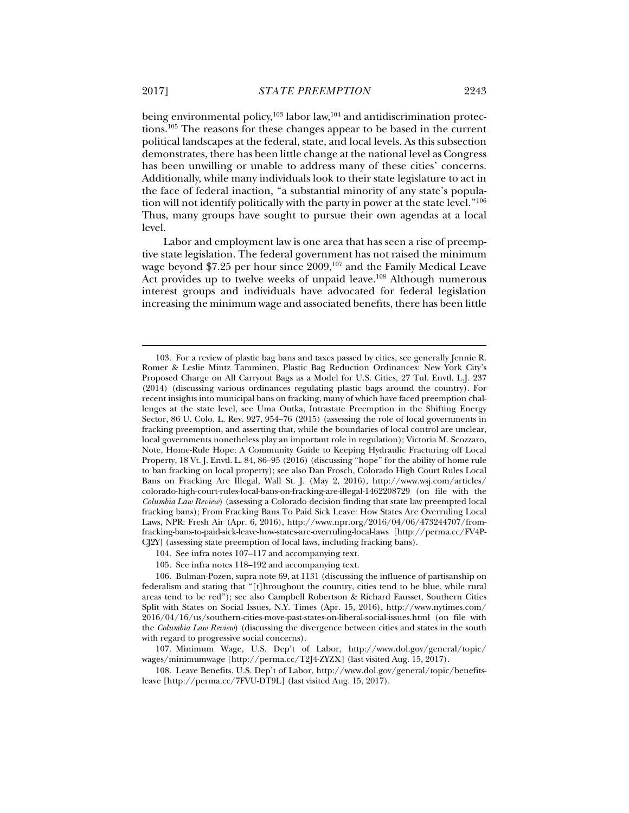being environmental policy, $103$  labor law, $104$  and antidiscrimination protections.105 The reasons for these changes appear to be based in the current political landscapes at the federal, state, and local levels. As this subsection demonstrates, there has been little change at the national level as Congress has been unwilling or unable to address many of these cities' concerns. Additionally, while many individuals look to their state legislature to act in the face of federal inaction, "a substantial minority of any state's popula-

tion will not identify politically with the party in power at the state level."<sup>106</sup> Thus, many groups have sought to pursue their own agendas at a local level.

Labor and employment law is one area that has seen a rise of preemptive state legislation. The federal government has not raised the minimum wage beyond \$7.25 per hour since 2009,<sup>107</sup> and the Family Medical Leave Act provides up to twelve weeks of unpaid leave.<sup>108</sup> Although numerous interest groups and individuals have advocated for federal legislation increasing the minimum wage and associated benefits, there has been little

 <sup>103.</sup> For a review of plastic bag bans and taxes passed by cities, see generally Jennie R. Romer & Leslie Mintz Tamminen, Plastic Bag Reduction Ordinances: New York City's Proposed Charge on All Carryout Bags as a Model for U.S. Cities, 27 Tul. Envtl. L.J. 237 (2014) (discussing various ordinances regulating plastic bags around the country). For recent insights into municipal bans on fracking, many of which have faced preemption challenges at the state level, see Uma Outka, Intrastate Preemption in the Shifting Energy Sector, 86 U. Colo. L. Rev. 927, 954–76 (2015) (assessing the role of local governments in fracking preemption, and asserting that, while the boundaries of local control are unclear, local governments nonetheless play an important role in regulation); Victoria M. Scozzaro, Note, Home-Rule Hope: A Community Guide to Keeping Hydraulic Fracturing off Local Property, 18 Vt. J. Envtl. L. 84, 86–95 (2016) (discussing "hope" for the ability of home rule to ban fracking on local property); see also Dan Frosch, Colorado High Court Rules Local Bans on Fracking Are Illegal, Wall St. J. (May 2, 2016), http://www.wsj.com/articles/ colorado-high-court-rules-local-bans-on-fracking-are-illegal-1462208729 (on file with the *Columbia Law Review*) (assessing a Colorado decision finding that state law preempted local fracking bans); From Fracking Bans To Paid Sick Leave: How States Are Overruling Local Laws, NPR: Fresh Air (Apr. 6, 2016), http://www.npr.org/2016/04/06/473244707/fromfracking-bans-to-paid-sick-leave-how-states-are-overruling-local-laws [http://perma.cc/FV4P-CJ2Y] (assessing state preemption of local laws, including fracking bans).

 <sup>104.</sup> See infra notes 107–117 and accompanying text.

 <sup>105.</sup> See infra notes 118–192 and accompanying text.

 <sup>106.</sup> Bulman-Pozen, supra note 69, at 1131 (discussing the influence of partisanship on federalism and stating that "[t]hroughout the country, cities tend to be blue, while rural areas tend to be red"); see also Campbell Robertson & Richard Fausset, Southern Cities Split with States on Social Issues, N.Y. Times (Apr. 15, 2016), http://www.nytimes.com/ 2016/04/16/us/southern-cities-move-past-states-on-liberal-social-issues.html (on file with the *Columbia Law Review*) (discussing the divergence between cities and states in the south with regard to progressive social concerns).

 <sup>107.</sup> Minimum Wage, U.S. Dep't of Labor, http://www.dol.gov/general/topic/ wages/minimumwage [http://perma.cc/T2J4-ZYZX] (last visited Aug. 15, 2017).

 <sup>108.</sup> Leave Benefits, U.S. Dep't of Labor, http://www.dol.gov/general/topic/benefitsleave [http://perma.cc/7FVU-DT9L] (last visited Aug. 15, 2017).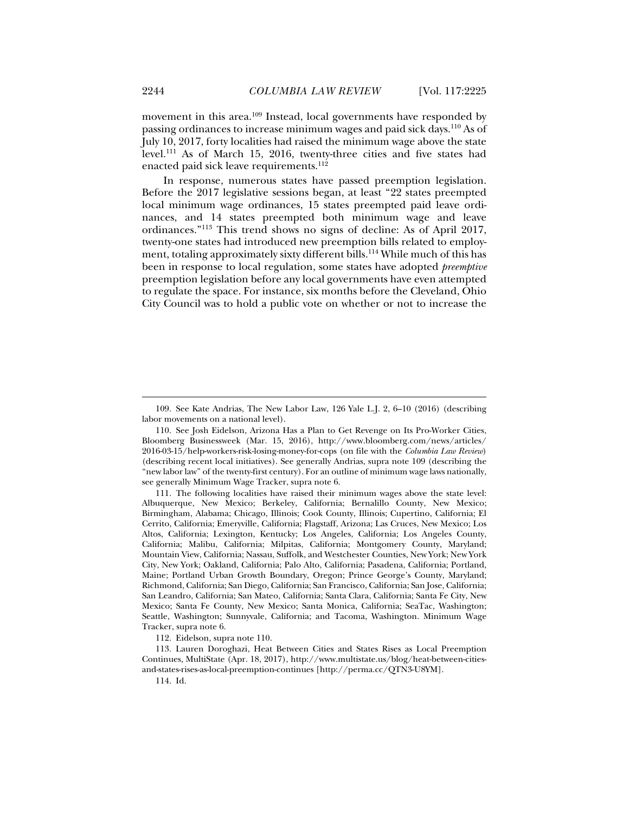movement in this area.109 Instead, local governments have responded by passing ordinances to increase minimum wages and paid sick days.110 As of July 10, 2017, forty localities had raised the minimum wage above the state level.111 As of March 15, 2016, twenty-three cities and five states had enacted paid sick leave requirements.<sup>112</sup>

In response, numerous states have passed preemption legislation. Before the 2017 legislative sessions began, at least "22 states preempted local minimum wage ordinances, 15 states preempted paid leave ordinances, and 14 states preempted both minimum wage and leave ordinances."113 This trend shows no signs of decline: As of April 2017, twenty-one states had introduced new preemption bills related to employment, totaling approximately sixty different bills.<sup>114</sup> While much of this has been in response to local regulation, some states have adopted *preemptive*  preemption legislation before any local governments have even attempted to regulate the space. For instance, six months before the Cleveland, Ohio City Council was to hold a public vote on whether or not to increase the

112. Eidelson, supra note 110.

 113. Lauren Doroghazi, Heat Between Cities and States Rises as Local Preemption Continues, MultiState (Apr. 18, 2017), http://www.multistate.us/blog/heat-between-citiesand-states-rises-as-local-preemption-continues [http://perma.cc/QTN3-U8YM].

114. Id.

 <sup>109.</sup> See Kate Andrias, The New Labor Law, 126 Yale L.J. 2, 6–10 (2016) (describing labor movements on a national level).

 <sup>110.</sup> See Josh Eidelson, Arizona Has a Plan to Get Revenge on Its Pro-Worker Cities, Bloomberg Businessweek (Mar. 15, 2016), http://www.bloomberg.com/news/articles/ 2016-03-15/help-workers-risk-losing-money-for-cops (on file with the *Columbia Law Review*) (describing recent local initiatives). See generally Andrias, supra note 109 (describing the "new labor law" of the twenty-first century). For an outline of minimum wage laws nationally, see generally Minimum Wage Tracker, supra note 6.

 <sup>111.</sup> The following localities have raised their minimum wages above the state level: Albuquerque, New Mexico; Berkeley, California; Bernalillo County, New Mexico; Birmingham, Alabama; Chicago, Illinois; Cook County, Illinois; Cupertino, California; El Cerrito, California; Emeryville, California; Flagstaff, Arizona; Las Cruces, New Mexico; Los Altos, California; Lexington, Kentucky; Los Angeles, California; Los Angeles County, California; Malibu, California; Milpitas, California; Montgomery County, Maryland; Mountain View, California; Nassau, Suffolk, and Westchester Counties, New York; New York City, New York; Oakland, California; Palo Alto, California; Pasadena, California; Portland, Maine; Portland Urban Growth Boundary, Oregon; Prince George's County, Maryland; Richmond, California; San Diego, California; San Francisco, California; San Jose, California; San Leandro, California; San Mateo, California; Santa Clara, California; Santa Fe City, New Mexico; Santa Fe County, New Mexico; Santa Monica, California; SeaTac, Washington; Seattle, Washington; Sunnyvale, California; and Tacoma, Washington. Minimum Wage Tracker, supra note 6.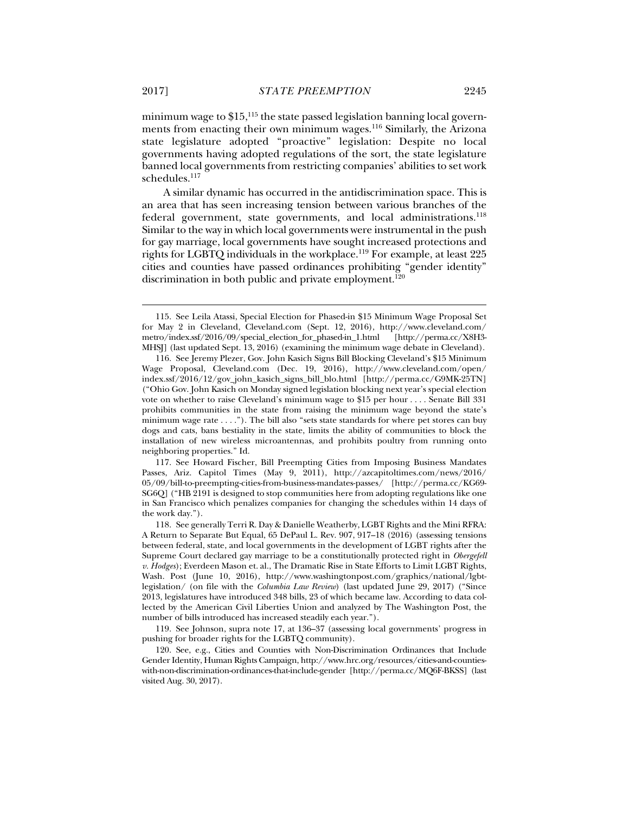minimum wage to  $$15,115$  the state passed legislation banning local governments from enacting their own minimum wages.116 Similarly, the Arizona state legislature adopted "proactive" legislation: Despite no local governments having adopted regulations of the sort, the state legislature banned local governments from restricting companies' abilities to set work schedules.<sup>117</sup>

A similar dynamic has occurred in the antidiscrimination space. This is an area that has seen increasing tension between various branches of the federal government, state governments, and local administrations.<sup>118</sup> Similar to the way in which local governments were instrumental in the push for gay marriage, local governments have sought increased protections and rights for LGBTQ individuals in the workplace.<sup>119</sup> For example, at least 225 cities and counties have passed ordinances prohibiting "gender identity" discrimination in both public and private employment.<sup>120</sup>

 <sup>115.</sup> See Leila Atassi, Special Election for Phased-in \$15 Minimum Wage Proposal Set for May 2 in Cleveland, Cleveland.com (Sept. 12, 2016), http://www.cleveland.com/ metro/index.ssf/2016/09/special\_election\_for\_phased-in\_1.html [http://perma.cc/X8H3- MHSJ] (last updated Sept. 13, 2016) (examining the minimum wage debate in Cleveland).

 <sup>116.</sup> See Jeremy Plezer, Gov. John Kasich Signs Bill Blocking Cleveland's \$15 Minimum Wage Proposal, Cleveland.com (Dec. 19, 2016), http://www.cleveland.com/open/ index.ssf/2016/12/gov\_john\_kasich\_signs\_bill\_blo.html [http://perma.cc/G9MK-25TN] ("Ohio Gov. John Kasich on Monday signed legislation blocking next year's special election vote on whether to raise Cleveland's minimum wage to \$15 per hour . . . . Senate Bill 331 prohibits communities in the state from raising the minimum wage beyond the state's minimum wage rate . . . ."). The bill also "sets state standards for where pet stores can buy dogs and cats, bans bestiality in the state, limits the ability of communities to block the installation of new wireless microantennas, and prohibits poultry from running onto neighboring properties." Id.

 <sup>117.</sup> See Howard Fischer, Bill Preempting Cities from Imposing Business Mandates Passes, Ariz. Capitol Times (May 9, 2011), http://azcapitoltimes.com/news/2016/ 05/09/bill-to-preempting-cities-from-business-mandates-passes/ [http://perma.cc/KG69- SG6Q] ("HB 2191 is designed to stop communities here from adopting regulations like one in San Francisco which penalizes companies for changing the schedules within 14 days of the work day.").

 <sup>118.</sup> See generally Terri R. Day & Danielle Weatherby, LGBT Rights and the Mini RFRA: A Return to Separate But Equal, 65 DePaul L. Rev. 907, 917–18 (2016) (assessing tensions between federal, state, and local governments in the development of LGBT rights after the Supreme Court declared gay marriage to be a constitutionally protected right in *Obergefell v. Hodges*); Everdeen Mason et. al., The Dramatic Rise in State Efforts to Limit LGBT Rights, Wash. Post (June 10, 2016), http://www.washingtonpost.com/graphics/national/lgbtlegislation/ (on file with the *Columbia Law Review*) (last updated June 29, 2017) ("Since 2013, legislatures have introduced 348 bills, 23 of which became law. According to data collected by the American Civil Liberties Union and analyzed by The Washington Post, the number of bills introduced has increased steadily each year.").

 <sup>119.</sup> See Johnson, supra note 17, at 136–37 (assessing local governments' progress in pushing for broader rights for the LGBTQ community).

 <sup>120.</sup> See, e.g., Cities and Counties with Non-Discrimination Ordinances that Include Gender Identity, Human Rights Campaign, http://www.hrc.org/resources/cities-and-countieswith-non-discrimination-ordinances-that-include-gender [http://perma.cc/MQ6F-BKSS] (last visited Aug. 30, 2017).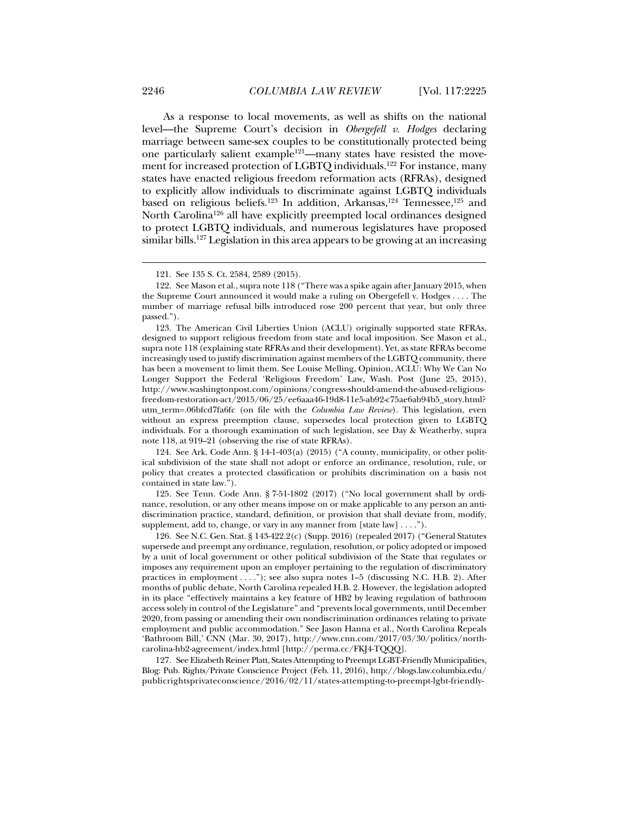As a response to local movements, as well as shifts on the national level—the Supreme Court's decision in *Obergefell v. Hodges* declaring marriage between same-sex couples to be constitutionally protected being one particularly salient example<sup>121</sup>—many states have resisted the movement for increased protection of LGBTQ individuals.<sup>122</sup> For instance, many states have enacted religious freedom reformation acts (RFRAs), designed to explicitly allow individuals to discriminate against LGBTQ individuals based on religious beliefs.<sup>123</sup> In addition, Arkansas,<sup>124</sup> Tennessee,<sup>125</sup> and North Carolina126 all have explicitly preempted local ordinances designed to protect LGBTQ individuals, and numerous legislatures have proposed similar bills.<sup>127</sup> Legislation in this area appears to be growing at an increasing

 123. The American Civil Liberties Union (ACLU) originally supported state RFRAs, designed to support religious freedom from state and local imposition. See Mason et al., supra note 118 (explaining state RFRAs and their development). Yet, as state RFRAs become increasingly used to justify discrimination against members of the LGBTQ community, there has been a movement to limit them. See Louise Melling, Opinion, ACLU: Why We Can No Longer Support the Federal 'Religious Freedom' Law, Wash. Post (June 25, 2015), http://www.washingtonpost.com/opinions/congress-should-amend-the-abused-religiousfreedom-restoration-act/2015/06/25/ee6aaa46-19d8-11e5-ab92-c75ae6ab94b5\_story.html? utm\_term=.06bfcd7fa6fc (on file with the *Columbia Law Review*). This legislation, even without an express preemption clause, supersedes local protection given to LGBTQ individuals. For a thorough examination of such legislation, see Day & Weatherby, supra note 118, at 919–21 (observing the rise of state RFRAs).

 124. See Ark. Code Ann. § 14-1-403(a) (2015) ("A county, municipality, or other political subdivision of the state shall not adopt or enforce an ordinance, resolution, rule, or policy that creates a protected classification or prohibits discrimination on a basis not contained in state law.").

 125. See Tenn. Code Ann. § 7-51-1802 (2017) ("No local government shall by ordinance, resolution, or any other means impose on or make applicable to any person an antidiscrimination practice, standard, definition, or provision that shall deviate from, modify, supplement, add to, change, or vary in any manner from [state law] . . . .").

 126. See N.C. Gen. Stat. § 143-422.2(c) (Supp. 2016) (repealed 2017) ("General Statutes supersede and preempt any ordinance, regulation, resolution, or policy adopted or imposed by a unit of local government or other political subdivision of the State that regulates or imposes any requirement upon an employer pertaining to the regulation of discriminatory practices in employment . . . ."); see also supra notes 1–5 (discussing N.C. H.B. 2). After months of public debate, North Carolina repealed H.B. 2. However, the legislation adopted in its place "effectively maintains a key feature of HB2 by leaving regulation of bathroom access solely in control of the Legislature" and "prevents local governments, until December 2020, from passing or amending their own nondiscrimination ordinances relating to private employment and public accommodation." See Jason Hanna et al., North Carolina Repeals 'Bathroom Bill,' CNN (Mar. 30, 2017), http://www.cnn.com/2017/03/30/politics/northcarolina-hb2-agreement/index.html [http://perma.cc/FKJ4-TQQQ].

 127. See Elizabeth Reiner Platt, States Attempting to Preempt LGBT-Friendly Municipalities, Blog: Pub. Rights/Private Conscience Project (Feb. 11, 2016), http://blogs.law.columbia.edu/ publicrightsprivateconscience/2016/02/11/states-attempting-to-preempt-lgbt-friendly-

 <sup>121.</sup> See 135 S. Ct. 2584, 2589 (2015).

 <sup>122.</sup> See Mason et al., supra note 118 ("There was a spike again after January 2015, when the Supreme Court announced it would make a ruling on Obergefell v. Hodges . . . . The number of marriage refusal bills introduced rose 200 percent that year, but only three passed.").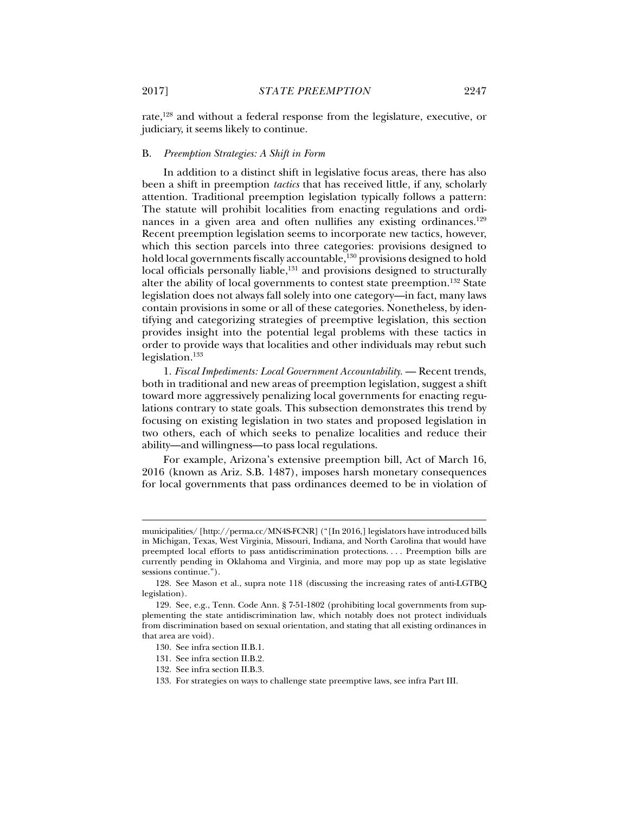rate,128 and without a federal response from the legislature, executive, or judiciary, it seems likely to continue.

#### B. *Preemption Strategies: A Shift in Form*

In addition to a distinct shift in legislative focus areas, there has also been a shift in preemption *tactics* that has received little, if any, scholarly attention. Traditional preemption legislation typically follows a pattern: The statute will prohibit localities from enacting regulations and ordinances in a given area and often nullifies any existing ordinances.<sup>129</sup> Recent preemption legislation seems to incorporate new tactics, however, which this section parcels into three categories: provisions designed to hold local governments fiscally accountable,<sup>130</sup> provisions designed to hold local officials personally liable,<sup>131</sup> and provisions designed to structurally alter the ability of local governments to contest state preemption.<sup>132</sup> State legislation does not always fall solely into one category—in fact, many laws contain provisions in some or all of these categories. Nonetheless, by identifying and categorizing strategies of preemptive legislation, this section provides insight into the potential legal problems with these tactics in order to provide ways that localities and other individuals may rebut such legislation.133

1. *Fiscal Impediments: Local Government Accountability.* — Recent trends, both in traditional and new areas of preemption legislation, suggest a shift toward more aggressively penalizing local governments for enacting regulations contrary to state goals. This subsection demonstrates this trend by focusing on existing legislation in two states and proposed legislation in two others, each of which seeks to penalize localities and reduce their ability—and willingness—to pass local regulations.

For example, Arizona's extensive preemption bill, Act of March 16, 2016 (known as Ariz. S.B. 1487), imposes harsh monetary consequences for local governments that pass ordinances deemed to be in violation of

municipalities/ [http://perma.cc/MN4S-FCNR] ("[In 2016,] legislators have introduced bills in Michigan, Texas, West Virginia, Missouri, Indiana, and North Carolina that would have preempted local efforts to pass antidiscrimination protections. . . . Preemption bills are currently pending in Oklahoma and Virginia, and more may pop up as state legislative sessions continue.").

 <sup>128.</sup> See Mason et al., supra note 118 (discussing the increasing rates of anti-LGTBQ legislation).

 <sup>129.</sup> See, e.g., Tenn. Code Ann. § 7-51-1802 (prohibiting local governments from supplementing the state antidiscrimination law, which notably does not protect individuals from discrimination based on sexual orientation, and stating that all existing ordinances in that area are void).

 <sup>130.</sup> See infra section II.B.1.

 <sup>131.</sup> See infra section II.B.2.

 <sup>132.</sup> See infra section II.B.3.

 <sup>133.</sup> For strategies on ways to challenge state preemptive laws, see infra Part III.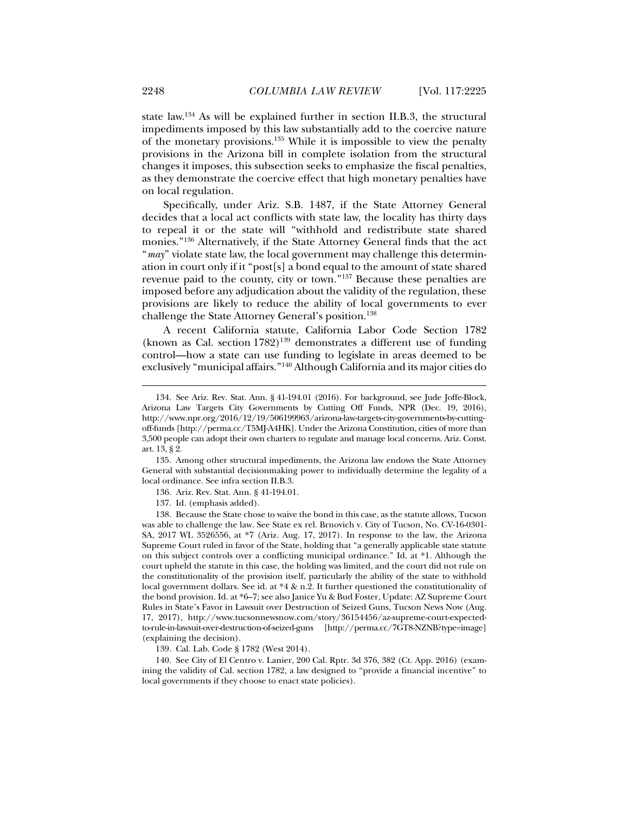state law.134 As will be explained further in section II.B.3, the structural impediments imposed by this law substantially add to the coercive nature of the monetary provisions.135 While it is impossible to view the penalty provisions in the Arizona bill in complete isolation from the structural changes it imposes, this subsection seeks to emphasize the fiscal penalties, as they demonstrate the coercive effect that high monetary penalties have on local regulation.

Specifically, under Ariz. S.B. 1487, if the State Attorney General decides that a local act conflicts with state law, the locality has thirty days to repeal it or the state will "withhold and redistribute state shared monies."136 Alternatively, if the State Attorney General finds that the act "*may*" violate state law, the local government may challenge this determination in court only if it "post[s] a bond equal to the amount of state shared revenue paid to the county, city or town."137 Because these penalties are imposed before any adjudication about the validity of the regulation, these provisions are likely to reduce the ability of local governments to ever challenge the State Attorney General's position.<sup>138</sup>

A recent California statute, California Labor Code Section 1782 (known as Cal. section  $1782$ )<sup>139</sup> demonstrates a different use of funding control—how a state can use funding to legislate in areas deemed to be exclusively "municipal affairs."140 Although California and its major cities do

 135. Among other structural impediments, the Arizona law endows the State Attorney General with substantial decisionmaking power to individually determine the legality of a local ordinance. See infra section II.B.3.

136. Ariz. Rev. Stat. Ann. § 41-194.01.

137. Id. (emphasis added).

 138. Because the State chose to waive the bond in this case, as the statute allows, Tucson was able to challenge the law. See State ex rel. Brnovich v. City of Tucson, No. CV-16-0301- SA, 2017 WL 3526556, at \*7 (Ariz. Aug. 17, 2017). In response to the law, the Arizona Supreme Court ruled in favor of the State, holding that "a generally applicable state statute on this subject controls over a conflicting municipal ordinance." Id. at \*1. Although the court upheld the statute in this case, the holding was limited, and the court did not rule on the constitutionality of the provision itself, particularly the ability of the state to withhold local government dollars. See id. at \*4 & n.2. It further questioned the constitutionality of the bond provision. Id. at \*6–7; see also Janice Yu & Bud Foster, Update: AZ Supreme Court Rules in State's Favor in Lawsuit over Destruction of Seized Guns, Tucson News Now (Aug. 17, 2017), http://www.tucsonnewsnow.com/story/36154456/az-supreme-court-expectedto-rule-in-lawsuit-over-destruction-of-seized-guns [http://perma.cc/7GT8-NZNB?type=image] (explaining the decision).

139. Cal. Lab. Code § 1782 (West 2014).

 140. See City of El Centro v. Lanier, 200 Cal. Rptr. 3d 376, 382 (Ct. App. 2016) (examining the validity of Cal. section 1782, a law designed to "provide a financial incentive" to local governments if they choose to enact state policies).

 <sup>134.</sup> See Ariz. Rev. Stat. Ann. § 41-194.01 (2016). For background, see Jude Joffe-Block, Arizona Law Targets City Governments by Cutting Off Funds, NPR (Dec. 19, 2016), http://www.npr.org/2016/12/19/506199963/arizona-law-targets-city-governments-by-cuttingoff-funds [http://perma.cc/T5MJ-A4HK]. Under the Arizona Constitution, cities of more than 3,500 people can adopt their own charters to regulate and manage local concerns. Ariz. Const. art. 13, § 2.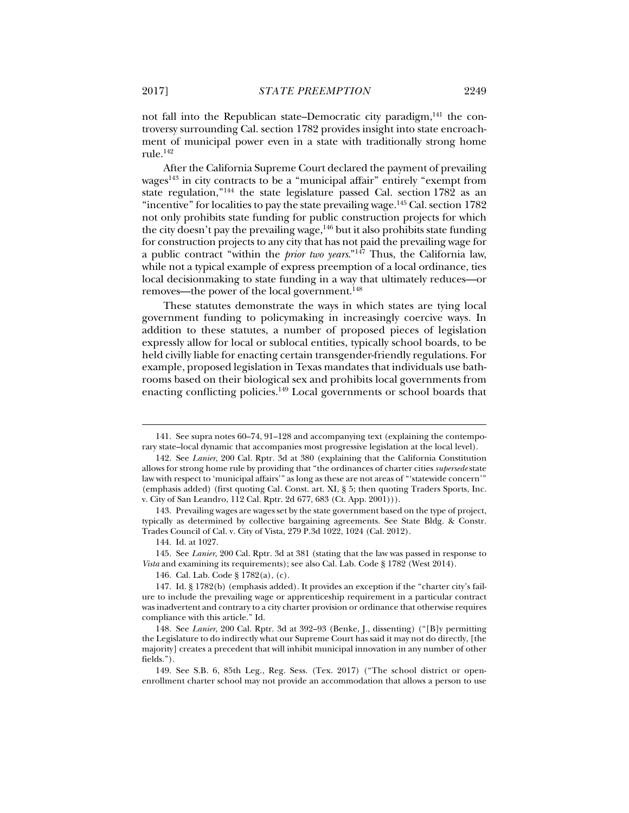not fall into the Republican state–Democratic city paradigm, $^{141}$  the controversy surrounding Cal. section 1782 provides insight into state encroachment of municipal power even in a state with traditionally strong home  $rule.^{\text{142}}$ 

After the California Supreme Court declared the payment of prevailing wages<sup>143</sup> in city contracts to be a "municipal affair" entirely "exempt from state regulation,"144 the state legislature passed Cal. section 1782 as an "incentive" for localities to pay the state prevailing wage.<sup>145</sup> Cal. section 1782 not only prohibits state funding for public construction projects for which the city doesn't pay the prevailing wage,  $146$  but it also prohibits state funding for construction projects to any city that has not paid the prevailing wage for a public contract "within the *prior two years*."147 Thus, the California law, while not a typical example of express preemption of a local ordinance, ties local decisionmaking to state funding in a way that ultimately reduces—or removes—the power of the local government.<sup>148</sup>

These statutes demonstrate the ways in which states are tying local government funding to policymaking in increasingly coercive ways. In addition to these statutes, a number of proposed pieces of legislation expressly allow for local or sublocal entities, typically school boards, to be held civilly liable for enacting certain transgender-friendly regulations. For example, proposed legislation in Texas mandates that individuals use bathrooms based on their biological sex and prohibits local governments from enacting conflicting policies.149 Local governments or school boards that

144. Id. at 1027.

j

 145. See *Lanier*, 200 Cal. Rptr. 3d at 381 (stating that the law was passed in response to *Vista* and examining its requirements); see also Cal. Lab. Code § 1782 (West 2014).

146. Cal. Lab. Code § 1782(a), (c).

 <sup>141.</sup> See supra notes 60–74, 91–128 and accompanying text (explaining the contemporary state–local dynamic that accompanies most progressive legislation at the local level).

 <sup>142.</sup> See *Lanier*, 200 Cal. Rptr. 3d at 380 (explaining that the California Constitution allows for strong home rule by providing that "the ordinances of charter cities *supersede* state law with respect to 'municipal affairs'" as long as these are not areas of "'statewide concern'" (emphasis added) (first quoting Cal. Const. art. XI, § 5; then quoting Traders Sports, Inc. v. City of San Leandro, 112 Cal. Rptr. 2d 677, 683 (Ct. App. 2001))).

 <sup>143.</sup> Prevailing wages are wages set by the state government based on the type of project, typically as determined by collective bargaining agreements. See State Bldg. & Constr. Trades Council of Cal. v. City of Vista, 279 P.3d 1022, 1024 (Cal. 2012).

 <sup>147.</sup> Id. § 1782(b) (emphasis added). It provides an exception if the "charter city's failure to include the prevailing wage or apprenticeship requirement in a particular contract was inadvertent and contrary to a city charter provision or ordinance that otherwise requires compliance with this article." Id.

 <sup>148.</sup> See *Lanier*, 200 Cal. Rptr. 3d at 392–93 (Benke, J., dissenting) ("[B]y permitting the Legislature to do indirectly what our Supreme Court has said it may not do directly, [the majority] creates a precedent that will inhibit municipal innovation in any number of other fields.").

 <sup>149.</sup> See S.B. 6, 85th Leg., Reg. Sess. (Tex. 2017) ("The school district or openenrollment charter school may not provide an accommodation that allows a person to use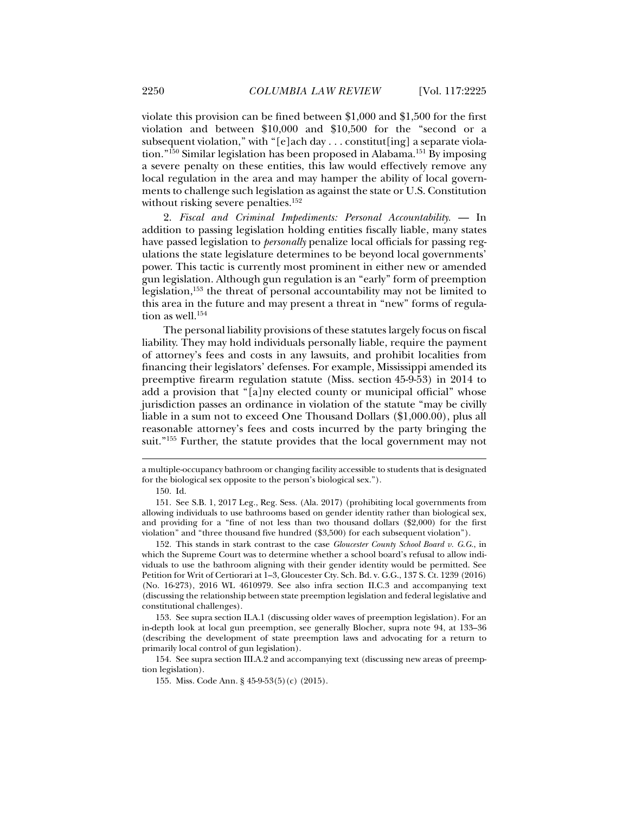violate this provision can be fined between \$1,000 and \$1,500 for the first violation and between \$10,000 and \$10,500 for the "second or a subsequent violation," with "[e]ach day . . . constitut[ing] a separate violation."150 Similar legislation has been proposed in Alabama.151 By imposing a severe penalty on these entities, this law would effectively remove any local regulation in the area and may hamper the ability of local governments to challenge such legislation as against the state or U.S. Constitution without risking severe penalties.<sup>152</sup>

2. *Fiscal and Criminal Impediments: Personal Accountability.* — In addition to passing legislation holding entities fiscally liable, many states have passed legislation to *personally* penalize local officials for passing regulations the state legislature determines to be beyond local governments' power. This tactic is currently most prominent in either new or amended gun legislation. Although gun regulation is an "early" form of preemption legislation,153 the threat of personal accountability may not be limited to this area in the future and may present a threat in "new" forms of regulation as well. $^{154}$ 

The personal liability provisions of these statutes largely focus on fiscal liability. They may hold individuals personally liable, require the payment of attorney's fees and costs in any lawsuits, and prohibit localities from financing their legislators' defenses. For example, Mississippi amended its preemptive firearm regulation statute (Miss. section 45-9-53) in 2014 to add a provision that "[a]ny elected county or municipal official" whose jurisdiction passes an ordinance in violation of the statute "may be civilly liable in a sum not to exceed One Thousand Dollars (\$1,000.00), plus all reasonable attorney's fees and costs incurred by the party bringing the suit."<sup>155</sup> Further, the statute provides that the local government may not

a multiple-occupancy bathroom or changing facility accessible to students that is designated for the biological sex opposite to the person's biological sex.").

 <sup>150.</sup> Id.

 <sup>151.</sup> See S.B. 1, 2017 Leg., Reg. Sess. (Ala. 2017) (prohibiting local governments from allowing individuals to use bathrooms based on gender identity rather than biological sex, and providing for a "fine of not less than two thousand dollars (\$2,000) for the first violation" and "three thousand five hundred (\$3,500) for each subsequent violation").

 <sup>152.</sup> This stands in stark contrast to the case *Gloucester County School Board v. G.G.*, in which the Supreme Court was to determine whether a school board's refusal to allow individuals to use the bathroom aligning with their gender identity would be permitted. See Petition for Writ of Certiorari at 1–3, Gloucester Cty. Sch. Bd. v. G.G., 137 S. Ct. 1239 (2016) (No. 16-273), 2016 WL 4610979. See also infra section II.C.3 and accompanying text (discussing the relationship between state preemption legislation and federal legislative and constitutional challenges).

 <sup>153.</sup> See supra section II.A.1 (discussing older waves of preemption legislation). For an in-depth look at local gun preemption, see generally Blocher, supra note 94, at 133–36 (describing the development of state preemption laws and advocating for a return to primarily local control of gun legislation).

 <sup>154.</sup> See supra section III.A.2 and accompanying text (discussing new areas of preemption legislation).

 <sup>155.</sup> Miss. Code Ann. § 45-9-53(5)(c) (2015).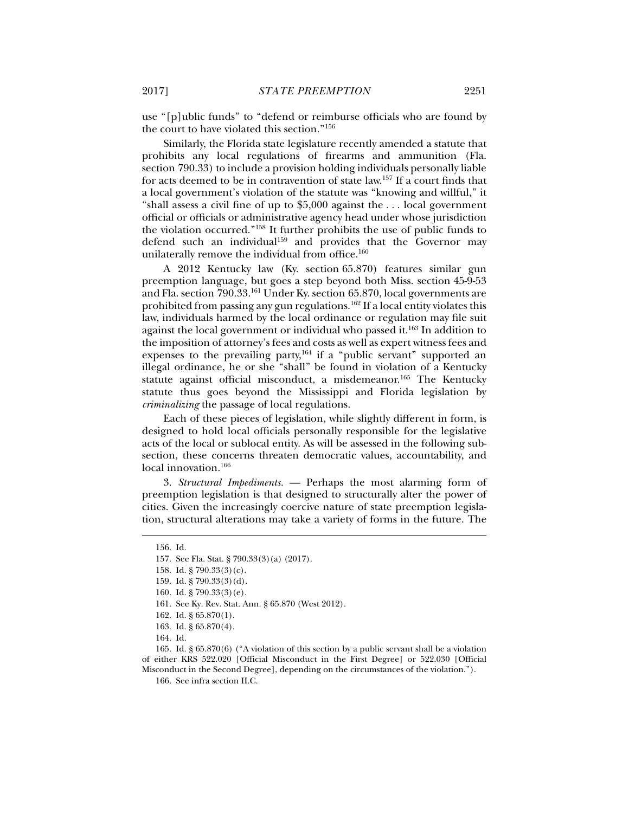use "[p]ublic funds" to "defend or reimburse officials who are found by the court to have violated this section."156

Similarly, the Florida state legislature recently amended a statute that prohibits any local regulations of firearms and ammunition (Fla. section 790.33) to include a provision holding individuals personally liable for acts deemed to be in contravention of state law.157 If a court finds that a local government's violation of the statute was "knowing and willful," it "shall assess a civil fine of up to \$5,000 against the . . . local government official or officials or administrative agency head under whose jurisdiction the violation occurred."158 It further prohibits the use of public funds to defend such an individual<sup>159</sup> and provides that the Governor may unilaterally remove the individual from office.<sup>160</sup>

A 2012 Kentucky law (Ky. section 65.870) features similar gun preemption language, but goes a step beyond both Miss. section 45-9-53 and Fla. section 790.33.161 Under Ky. section 65.870, local governments are prohibited from passing any gun regulations.162 If a local entity violates this law, individuals harmed by the local ordinance or regulation may file suit against the local government or individual who passed it.<sup>163</sup> In addition to the imposition of attorney's fees and costs as well as expert witness fees and expenses to the prevailing party,<sup>164</sup> if a "public servant" supported an illegal ordinance, he or she "shall" be found in violation of a Kentucky statute against official misconduct, a misdemeanor.<sup>165</sup> The Kentucky statute thus goes beyond the Mississippi and Florida legislation by *criminalizing* the passage of local regulations.

Each of these pieces of legislation, while slightly different in form, is designed to hold local officials personally responsible for the legislative acts of the local or sublocal entity. As will be assessed in the following subsection, these concerns threaten democratic values, accountability, and local innovation.<sup>166</sup>

3. *Structural Impediments.* — Perhaps the most alarming form of preemption legislation is that designed to structurally alter the power of cities. Given the increasingly coercive nature of state preemption legislation, structural alterations may take a variety of forms in the future. The

 <sup>156.</sup> Id.

 <sup>157.</sup> See Fla. Stat. § 790.33(3)(a) (2017).

 <sup>158.</sup> Id. § 790.33(3)(c).

 <sup>159.</sup> Id. § 790.33(3)(d).

 <sup>160.</sup> Id. § 790.33(3)(e).

 <sup>161.</sup> See Ky. Rev. Stat. Ann. § 65.870 (West 2012).

 <sup>162.</sup> Id. § 65.870(1).

 <sup>163.</sup> Id. § 65.870(4).

 <sup>164.</sup> Id.

 <sup>165.</sup> Id. § 65.870(6) ("A violation of this section by a public servant shall be a violation of either KRS 522.020 [Official Misconduct in the First Degree] or 522.030 [Official Misconduct in the Second Degree], depending on the circumstances of the violation.").

 <sup>166.</sup> See infra section II.C.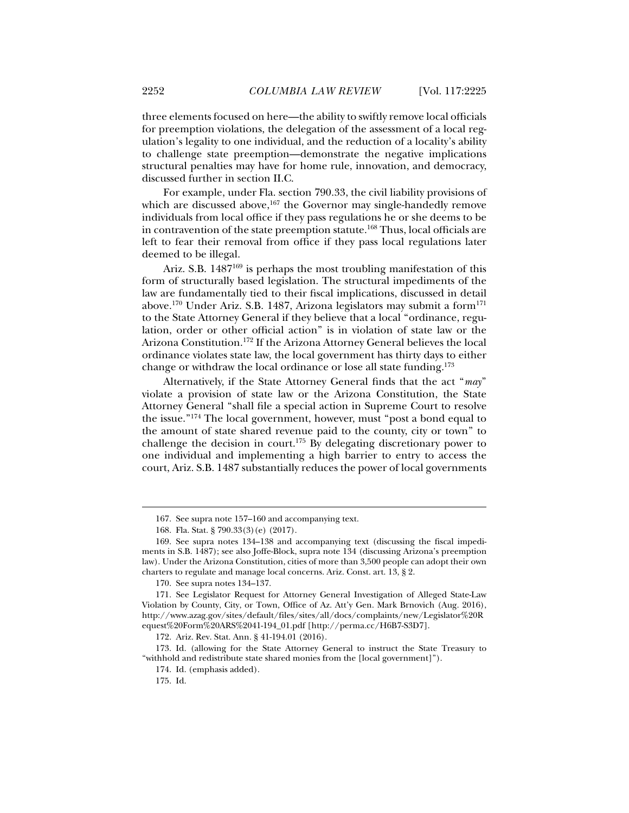three elements focused on here—the ability to swiftly remove local officials for preemption violations, the delegation of the assessment of a local regulation's legality to one individual, and the reduction of a locality's ability to challenge state preemption—demonstrate the negative implications structural penalties may have for home rule, innovation, and democracy, discussed further in section II.C.

For example, under Fla. section 790.33, the civil liability provisions of which are discussed above,<sup>167</sup> the Governor may single-handedly remove individuals from local office if they pass regulations he or she deems to be in contravention of the state preemption statute.<sup>168</sup> Thus, local officials are left to fear their removal from office if they pass local regulations later deemed to be illegal.

Ariz. S.B. 1487<sup>169</sup> is perhaps the most troubling manifestation of this form of structurally based legislation. The structural impediments of the law are fundamentally tied to their fiscal implications, discussed in detail above.170 Under Ariz. S.B. 1487, Arizona legislators may submit a form171 to the State Attorney General if they believe that a local "ordinance, regulation, order or other official action" is in violation of state law or the Arizona Constitution.172 If the Arizona Attorney General believes the local ordinance violates state law, the local government has thirty days to either change or withdraw the local ordinance or lose all state funding.173

Alternatively, if the State Attorney General finds that the act "*may*" violate a provision of state law or the Arizona Constitution, the State Attorney General "shall file a special action in Supreme Court to resolve the issue."174 The local government, however, must "post a bond equal to the amount of state shared revenue paid to the county, city or town" to challenge the decision in court.175 By delegating discretionary power to one individual and implementing a high barrier to entry to access the court, Ariz. S.B. 1487 substantially reduces the power of local governments

 <sup>167.</sup> See supra note 157–160 and accompanying text.

 <sup>168.</sup> Fla. Stat. § 790.33(3)(e) (2017).

 <sup>169.</sup> See supra notes 134–138 and accompanying text (discussing the fiscal impediments in S.B. 1487); see also Joffe-Block, supra note 134 (discussing Arizona's preemption law). Under the Arizona Constitution, cities of more than 3,500 people can adopt their own charters to regulate and manage local concerns. Ariz. Const. art. 13, § 2.

 <sup>170.</sup> See supra notes 134–137.

 <sup>171.</sup> See Legislator Request for Attorney General Investigation of Alleged State-Law Violation by County, City, or Town, Office of Az. Att'y Gen. Mark Brnovich (Aug. 2016), http://www.azag.gov/sites/default/files/sites/all/docs/complaints/new/Legislator%20R equest%20Form%20ARS%2041-194\_01.pdf [http://perma.cc/H6B7-S3D7].

 <sup>172.</sup> Ariz. Rev. Stat. Ann. § 41-194.01 (2016).

 <sup>173.</sup> Id. (allowing for the State Attorney General to instruct the State Treasury to "withhold and redistribute state shared monies from the [local government]").

 <sup>174.</sup> Id. (emphasis added).

 <sup>175.</sup> Id.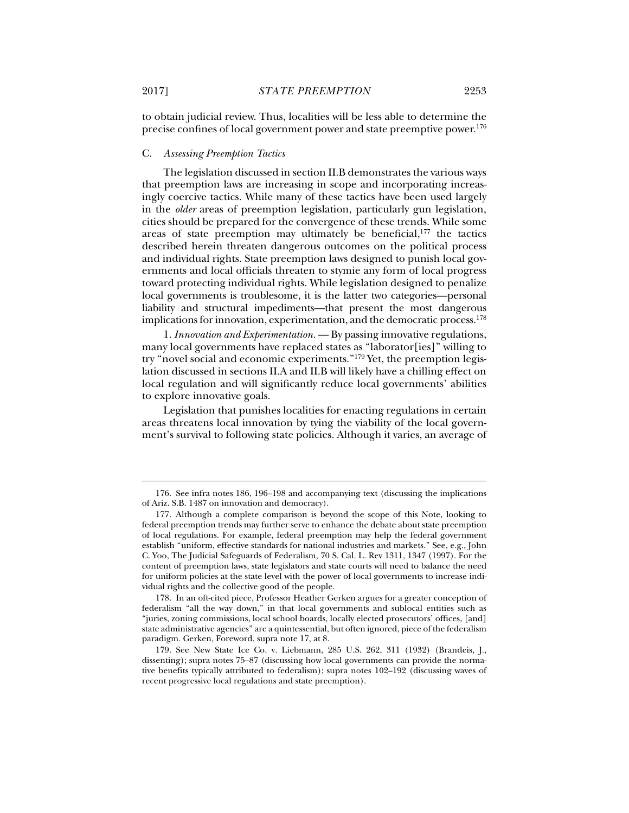to obtain judicial review. Thus, localities will be less able to determine the precise confines of local government power and state preemptive power.176

#### C. *Assessing Preemption Tactics*

The legislation discussed in section II.B demonstrates the various ways that preemption laws are increasing in scope and incorporating increasingly coercive tactics. While many of these tactics have been used largely in the *older* areas of preemption legislation, particularly gun legislation, cities should be prepared for the convergence of these trends. While some areas of state preemption may ultimately be beneficial, $177$  the tactics described herein threaten dangerous outcomes on the political process and individual rights. State preemption laws designed to punish local governments and local officials threaten to stymie any form of local progress toward protecting individual rights. While legislation designed to penalize local governments is troublesome, it is the latter two categories—personal liability and structural impediments—that present the most dangerous implications for innovation, experimentation, and the democratic process.<sup>178</sup>

1. *Innovation and Experimentation.* — By passing innovative regulations, many local governments have replaced states as "laborator[ies]" willing to try "novel social and economic experiments."179 Yet, the preemption legislation discussed in sections II.A and II.B will likely have a chilling effect on local regulation and will significantly reduce local governments' abilities to explore innovative goals.

Legislation that punishes localities for enacting regulations in certain areas threatens local innovation by tying the viability of the local government's survival to following state policies. Although it varies, an average of

 <sup>176.</sup> See infra notes 186, 196–198 and accompanying text (discussing the implications of Ariz. S.B. 1487 on innovation and democracy).

 <sup>177.</sup> Although a complete comparison is beyond the scope of this Note, looking to federal preemption trends may further serve to enhance the debate about state preemption of local regulations. For example, federal preemption may help the federal government establish "uniform, effective standards for national industries and markets." See, e.g., John C. Yoo, The Judicial Safeguards of Federalism, 70 S. Cal. L. Rev 1311, 1347 (1997). For the content of preemption laws, state legislators and state courts will need to balance the need for uniform policies at the state level with the power of local governments to increase individual rights and the collective good of the people.

 <sup>178.</sup> In an oft-cited piece, Professor Heather Gerken argues for a greater conception of federalism "all the way down," in that local governments and sublocal entities such as "juries, zoning commissions, local school boards, locally elected prosecutors' offices, [and] state administrative agencies" are a quintessential, but often ignored, piece of the federalism paradigm. Gerken, Foreword, supra note 17, at 8.

 <sup>179.</sup> See New State Ice Co. v. Liebmann, 285 U.S. 262, 311 (1932) (Brandeis, J., dissenting); supra notes 75–87 (discussing how local governments can provide the normative benefits typically attributed to federalism); supra notes 102–192 (discussing waves of recent progressive local regulations and state preemption).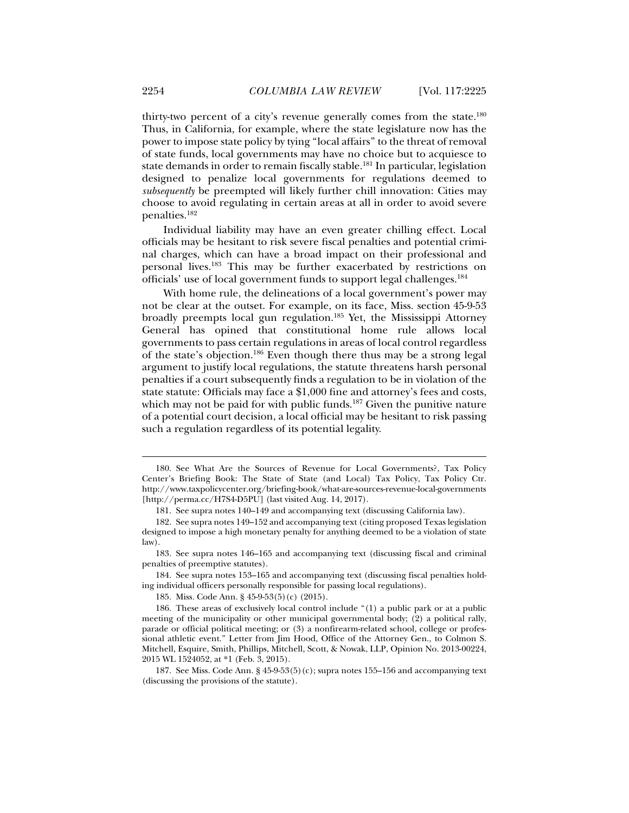thirty-two percent of a city's revenue generally comes from the state.180 Thus, in California, for example, where the state legislature now has the power to impose state policy by tying "local affairs" to the threat of removal of state funds, local governments may have no choice but to acquiesce to state demands in order to remain fiscally stable.<sup>181</sup> In particular, legislation designed to penalize local governments for regulations deemed to *subsequently* be preempted will likely further chill innovation: Cities may choose to avoid regulating in certain areas at all in order to avoid severe penalties.182

Individual liability may have an even greater chilling effect. Local officials may be hesitant to risk severe fiscal penalties and potential criminal charges, which can have a broad impact on their professional and personal lives.183 This may be further exacerbated by restrictions on officials' use of local government funds to support legal challenges.184

With home rule, the delineations of a local government's power may not be clear at the outset. For example, on its face, Miss. section 45-9-53 broadly preempts local gun regulation.185 Yet, the Mississippi Attorney General has opined that constitutional home rule allows local governments to pass certain regulations in areas of local control regardless of the state's objection.186 Even though there thus may be a strong legal argument to justify local regulations, the statute threatens harsh personal penalties if a court subsequently finds a regulation to be in violation of the state statute: Officials may face a \$1,000 fine and attorney's fees and costs, which may not be paid for with public funds.<sup>187</sup> Given the punitive nature of a potential court decision, a local official may be hesitant to risk passing such a regulation regardless of its potential legality.

 <sup>180.</sup> See What Are the Sources of Revenue for Local Governments?, Tax Policy Center's Briefing Book: The State of State (and Local) Tax Policy, Tax Policy Ctr. http://www.taxpolicycenter.org/briefing-book/what-are-sources-revenue-local-governments [http://perma.cc/H7S4-D5PU] (last visited Aug. 14, 2017).

 <sup>181.</sup> See supra notes 140–149 and accompanying text (discussing California law).

 <sup>182.</sup> See supra notes 149–152 and accompanying text (citing proposed Texas legislation designed to impose a high monetary penalty for anything deemed to be a violation of state law).

 <sup>183.</sup> See supra notes 146–165 and accompanying text (discussing fiscal and criminal penalties of preemptive statutes).

 <sup>184.</sup> See supra notes 153–165 and accompanying text (discussing fiscal penalties holding individual officers personally responsible for passing local regulations).

 <sup>185.</sup> Miss. Code Ann. § 45-9-53(5)(c) (2015).

 <sup>186.</sup> These areas of exclusively local control include "(1) a public park or at a public meeting of the municipality or other municipal governmental body; (2) a political rally, parade or official political meeting; or (3) a nonfirearm-related school, college or professional athletic event." Letter from Jim Hood, Office of the Attorney Gen., to Colmon S. Mitchell, Esquire, Smith, Phillips, Mitchell, Scott, & Nowak, LLP, Opinion No. 2013-00224, 2015 WL 1524052, at \*1 (Feb. 3, 2015).

<sup>187.</sup> See Miss. Code Ann.  $\S$  45-9-53(5)(c); supra notes 155–156 and accompanying text (discussing the provisions of the statute).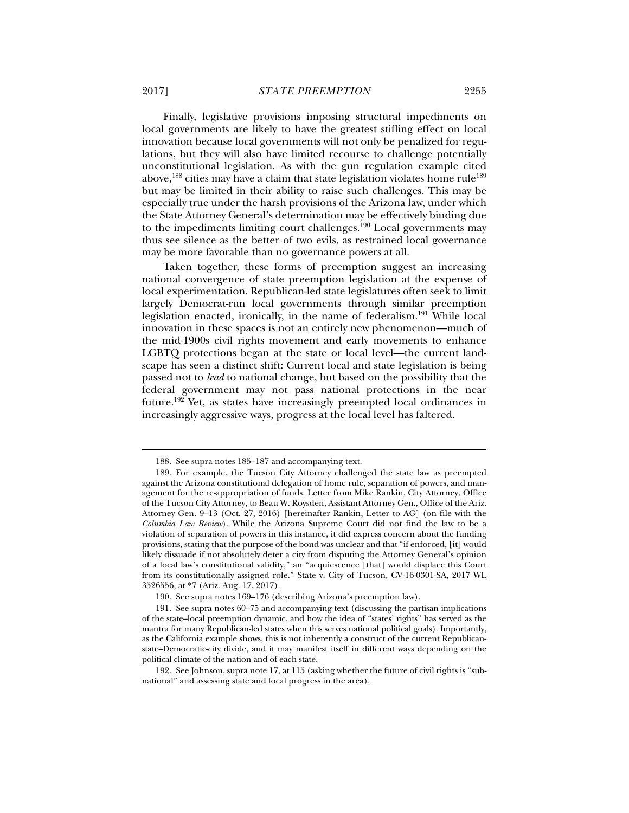Finally, legislative provisions imposing structural impediments on local governments are likely to have the greatest stifling effect on local innovation because local governments will not only be penalized for regulations, but they will also have limited recourse to challenge potentially unconstitutional legislation. As with the gun regulation example cited above,<sup>188</sup> cities may have a claim that state legislation violates home rule<sup>189</sup> but may be limited in their ability to raise such challenges. This may be especially true under the harsh provisions of the Arizona law, under which the State Attorney General's determination may be effectively binding due to the impediments limiting court challenges. $190$  Local governments may thus see silence as the better of two evils, as restrained local governance may be more favorable than no governance powers at all.

Taken together, these forms of preemption suggest an increasing national convergence of state preemption legislation at the expense of local experimentation. Republican-led state legislatures often seek to limit largely Democrat-run local governments through similar preemption legislation enacted, ironically, in the name of federalism.191 While local innovation in these spaces is not an entirely new phenomenon—much of the mid-1900s civil rights movement and early movements to enhance LGBTQ protections began at the state or local level—the current landscape has seen a distinct shift: Current local and state legislation is being passed not to *lead* to national change, but based on the possibility that the federal government may not pass national protections in the near future.192 Yet, as states have increasingly preempted local ordinances in increasingly aggressive ways, progress at the local level has faltered.

 <sup>188.</sup> See supra notes 185–187 and accompanying text.

 <sup>189.</sup> For example, the Tucson City Attorney challenged the state law as preempted against the Arizona constitutional delegation of home rule, separation of powers, and management for the re-appropriation of funds. Letter from Mike Rankin, City Attorney, Office of the Tucson City Attorney, to Beau W. Roysden, Assistant Attorney Gen., Office of the Ariz. Attorney Gen. 9–13 (Oct. 27, 2016) [hereinafter Rankin, Letter to AG] (on file with the *Columbia Law Review*). While the Arizona Supreme Court did not find the law to be a violation of separation of powers in this instance, it did express concern about the funding provisions, stating that the purpose of the bond was unclear and that "if enforced, [it] would likely dissuade if not absolutely deter a city from disputing the Attorney General's opinion of a local law's constitutional validity," an "acquiescence [that] would displace this Court from its constitutionally assigned role." State v. City of Tucson, CV-16-0301-SA, 2017 WL 3526556, at \*7 (Ariz. Aug. 17, 2017).

 <sup>190.</sup> See supra notes 169–176 (describing Arizona's preemption law).

 <sup>191.</sup> See supra notes 60–75 and accompanying text (discussing the partisan implications of the state–local preemption dynamic, and how the idea of "states' rights" has served as the mantra for many Republican-led states when this serves national political goals). Importantly, as the California example shows, this is not inherently a construct of the current Republicanstate–Democratic-city divide, and it may manifest itself in different ways depending on the political climate of the nation and of each state.

 <sup>192.</sup> See Johnson, supra note 17, at 115 (asking whether the future of civil rights is "subnational" and assessing state and local progress in the area).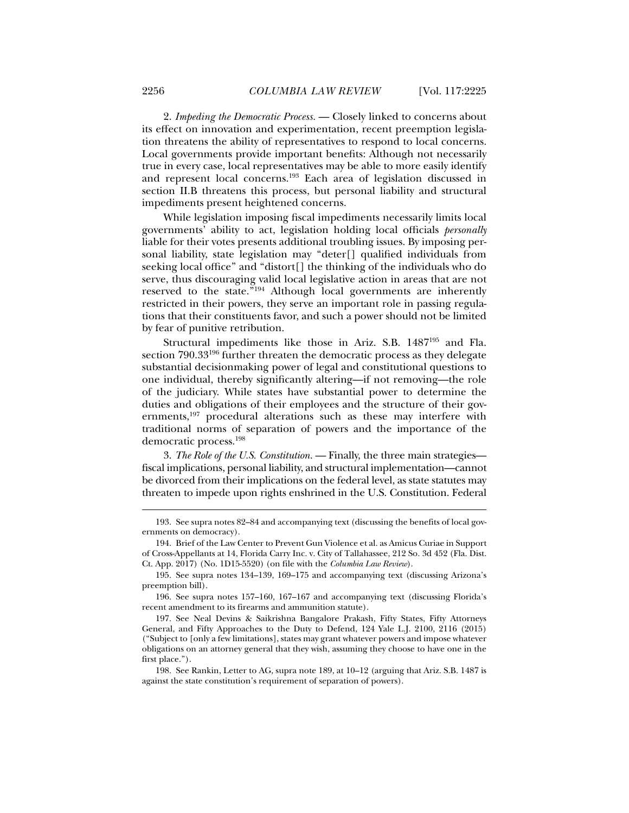2. *Impeding the Democratic Process.* — Closely linked to concerns about its effect on innovation and experimentation, recent preemption legislation threatens the ability of representatives to respond to local concerns. Local governments provide important benefits: Although not necessarily true in every case, local representatives may be able to more easily identify and represent local concerns.193 Each area of legislation discussed in section II.B threatens this process, but personal liability and structural impediments present heightened concerns.

While legislation imposing fiscal impediments necessarily limits local governments' ability to act, legislation holding local officials *personally* liable for their votes presents additional troubling issues. By imposing personal liability, state legislation may "deter[] qualified individuals from seeking local office" and "distort[] the thinking of the individuals who do serve, thus discouraging valid local legislative action in areas that are not reserved to the state."194 Although local governments are inherently restricted in their powers, they serve an important role in passing regulations that their constituents favor, and such a power should not be limited by fear of punitive retribution.

Structural impediments like those in Ariz. S.B. 1487195 and Fla. section 790.33196 further threaten the democratic process as they delegate substantial decisionmaking power of legal and constitutional questions to one individual, thereby significantly altering—if not removing—the role of the judiciary. While states have substantial power to determine the duties and obligations of their employees and the structure of their governments,<sup>197</sup> procedural alterations such as these may interfere with traditional norms of separation of powers and the importance of the democratic process.198

3. *The Role of the U.S. Constitution.* — Finally, the three main strategies fiscal implications, personal liability, and structural implementation—cannot be divorced from their implications on the federal level, as state statutes may threaten to impede upon rights enshrined in the U.S. Constitution. Federal

 <sup>193.</sup> See supra notes 82–84 and accompanying text (discussing the benefits of local governments on democracy).

 <sup>194.</sup> Brief of the Law Center to Prevent Gun Violence et al. as Amicus Curiae in Support of Cross-Appellants at 14, Florida Carry Inc. v. City of Tallahassee, 212 So. 3d 452 (Fla. Dist. Ct. App. 2017) (No. 1D15-5520) (on file with the *Columbia Law Review*).

 <sup>195.</sup> See supra notes 134–139, 169–175 and accompanying text (discussing Arizona's preemption bill).

 <sup>196.</sup> See supra notes 157–160, 167–167 and accompanying text (discussing Florida's recent amendment to its firearms and ammunition statute).

 <sup>197.</sup> See Neal Devins & Saikrishna Bangalore Prakash, Fifty States, Fifty Attorneys General, and Fifty Approaches to the Duty to Defend, 124 Yale L.J. 2100, 2116 (2015) ("Subject to [only a few limitations], states may grant whatever powers and impose whatever obligations on an attorney general that they wish, assuming they choose to have one in the first place.").

 <sup>198.</sup> See Rankin, Letter to AG, supra note 189, at 10–12 (arguing that Ariz. S.B. 1487 is against the state constitution's requirement of separation of powers).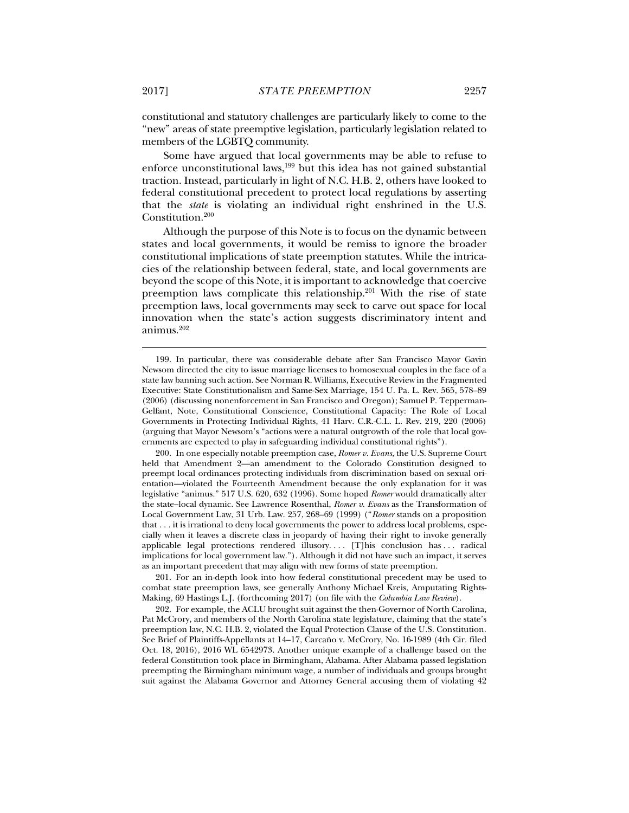constitutional and statutory challenges are particularly likely to come to the "new" areas of state preemptive legislation, particularly legislation related to members of the LGBTQ community.

Some have argued that local governments may be able to refuse to enforce unconstitutional laws,<sup>199</sup> but this idea has not gained substantial traction. Instead, particularly in light of N.C. H.B. 2, others have looked to federal constitutional precedent to protect local regulations by asserting that the *state* is violating an individual right enshrined in the U.S. Constitution.200

Although the purpose of this Note is to focus on the dynamic between states and local governments, it would be remiss to ignore the broader constitutional implications of state preemption statutes. While the intricacies of the relationship between federal, state, and local governments are beyond the scope of this Note, it is important to acknowledge that coercive preemption laws complicate this relationship.<sup>201</sup> With the rise of state preemption laws, local governments may seek to carve out space for local innovation when the state's action suggests discriminatory intent and animus.202

 201. For an in-depth look into how federal constitutional precedent may be used to combat state preemption laws, see generally Anthony Michael Kreis, Amputating Rights-Making, 69 Hastings L.J. (forthcoming 2017) (on file with the *Columbia Law Review*).

 202. For example, the ACLU brought suit against the then-Governor of North Carolina, Pat McCrory, and members of the North Carolina state legislature, claiming that the state's preemption law, N.C. H.B. 2, violated the Equal Protection Clause of the U.S. Constitution. See Brief of Plaintiffs-Appellants at 14–17, Carcaño v. McCrory, No. 16-1989 (4th Cir. filed Oct. 18, 2016), 2016 WL 6542973. Another unique example of a challenge based on the federal Constitution took place in Birmingham, Alabama. After Alabama passed legislation preempting the Birmingham minimum wage, a number of individuals and groups brought suit against the Alabama Governor and Attorney General accusing them of violating 42

 <sup>199.</sup> In particular, there was considerable debate after San Francisco Mayor Gavin Newsom directed the city to issue marriage licenses to homosexual couples in the face of a state law banning such action. See Norman R. Williams, Executive Review in the Fragmented Executive: State Constitutionalism and Same-Sex Marriage, 154 U. Pa. L. Rev. 565, 578–89 (2006) (discussing nonenforcement in San Francisco and Oregon); Samuel P. Tepperman-Gelfant, Note, Constitutional Conscience, Constitutional Capacity: The Role of Local Governments in Protecting Individual Rights, 41 Harv. C.R.-C.L. L. Rev. 219, 220 (2006) (arguing that Mayor Newsom's "actions were a natural outgrowth of the role that local governments are expected to play in safeguarding individual constitutional rights").

 <sup>200.</sup> In one especially notable preemption case, *Romer v. Evans*, the U.S. Supreme Court held that Amendment 2—an amendment to the Colorado Constitution designed to preempt local ordinances protecting individuals from discrimination based on sexual orientation—violated the Fourteenth Amendment because the only explanation for it was legislative "animus." 517 U.S. 620, 632 (1996). Some hoped *Romer* would dramatically alter the state–local dynamic. See Lawrence Rosenthal, *Romer v. Evans* as the Transformation of Local Government Law, 31 Urb. Law. 257, 268–69 (1999) ("*Romer* stands on a proposition that . . . it is irrational to deny local governments the power to address local problems, especially when it leaves a discrete class in jeopardy of having their right to invoke generally applicable legal protections rendered illusory. . . . [T]his conclusion has . . . radical implications for local government law."). Although it did not have such an impact, it serves as an important precedent that may align with new forms of state preemption.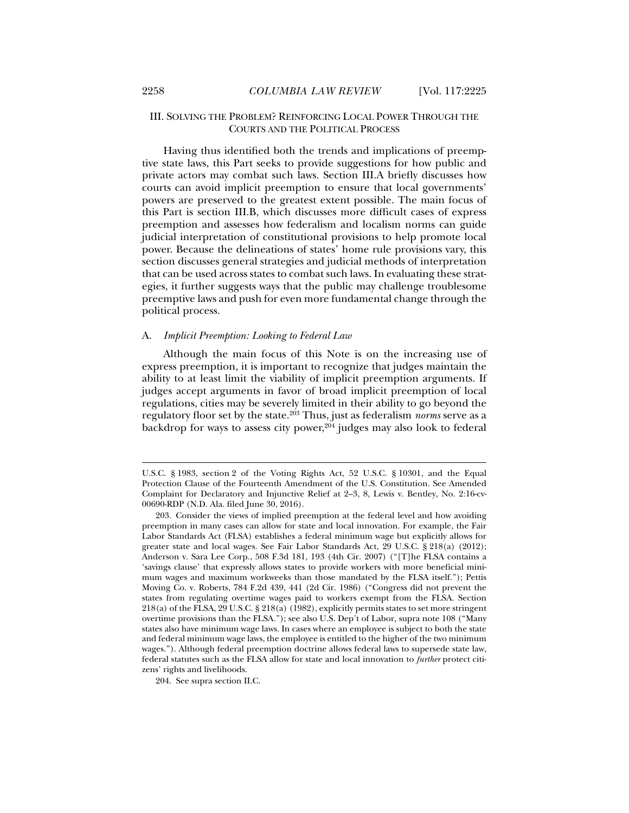# III. SOLVING THE PROBLEM? REINFORCING LOCAL POWER THROUGH THE COURTS AND THE POLITICAL PROCESS

Having thus identified both the trends and implications of preemptive state laws, this Part seeks to provide suggestions for how public and private actors may combat such laws. Section III.A briefly discusses how courts can avoid implicit preemption to ensure that local governments' powers are preserved to the greatest extent possible. The main focus of this Part is section III.B, which discusses more difficult cases of express preemption and assesses how federalism and localism norms can guide judicial interpretation of constitutional provisions to help promote local power. Because the delineations of states' home rule provisions vary, this section discusses general strategies and judicial methods of interpretation that can be used across states to combat such laws. In evaluating these strategies, it further suggests ways that the public may challenge troublesome preemptive laws and push for even more fundamental change through the political process.

### A. *Implicit Preemption: Looking to Federal Law*

Although the main focus of this Note is on the increasing use of express preemption, it is important to recognize that judges maintain the ability to at least limit the viability of implicit preemption arguments. If judges accept arguments in favor of broad implicit preemption of local regulations, cities may be severely limited in their ability to go beyond the regulatory floor set by the state.203 Thus, just as federalism *norms* serve as a backdrop for ways to assess city power, $204$  judges may also look to federal

U.S.C. § 1983, section 2 of the Voting Rights Act, 52 U.S.C. § 10301, and the Equal Protection Clause of the Fourteenth Amendment of the U.S. Constitution. See Amended Complaint for Declaratory and Injunctive Relief at 2–3, 8, Lewis v. Bentley, No. 2:16-cv-00690-RDP (N.D. Ala. filed June 30, 2016).

 <sup>203.</sup> Consider the views of implied preemption at the federal level and how avoiding preemption in many cases can allow for state and local innovation. For example, the Fair Labor Standards Act (FLSA) establishes a federal minimum wage but explicitly allows for greater state and local wages. See Fair Labor Standards Act, 29 U.S.C. § 218(a) (2012); Anderson v. Sara Lee Corp., 508 F.3d 181, 193 (4th Cir. 2007) ("[T]he FLSA contains a 'savings clause' that expressly allows states to provide workers with more beneficial minimum wages and maximum workweeks than those mandated by the FLSA itself."); Pettis Moving Co. v. Roberts, 784 F.2d 439, 441 (2d Cir. 1986) ("Congress did not prevent the states from regulating overtime wages paid to workers exempt from the FLSA. Section 218(a) of the FLSA, 29 U.S.C. § 218(a) (1982), explicitly permits states to set more stringent overtime provisions than the FLSA."); see also U.S. Dep't of Labor, supra note 108 ("Many states also have minimum wage laws. In cases where an employee is subject to both the state and federal minimum wage laws, the employee is entitled to the higher of the two minimum wages."). Although federal preemption doctrine allows federal laws to supersede state law, federal statutes such as the FLSA allow for state and local innovation to *further* protect citizens' rights and livelihoods.

 <sup>204.</sup> See supra section II.C.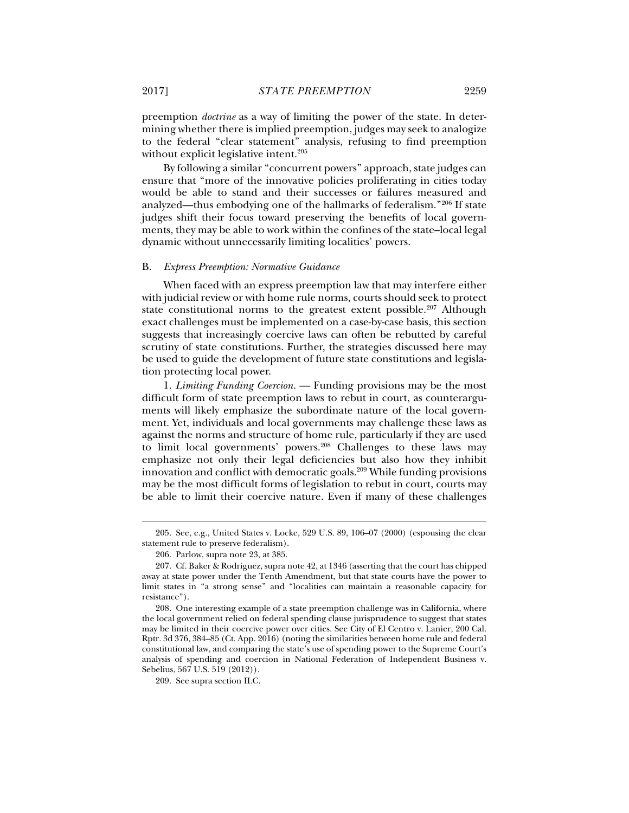preemption *doctrine* as a way of limiting the power of the state. In determining whether there is implied preemption, judges may seek to analogize to the federal "clear statement" analysis, refusing to find preemption without explicit legislative intent.<sup>205</sup>

By following a similar "concurrent powers" approach, state judges can ensure that "more of the innovative policies proliferating in cities today would be able to stand and their successes or failures measured and analyzed—thus embodying one of the hallmarks of federalism."206 If state judges shift their focus toward preserving the benefits of local governments, they may be able to work within the confines of the state–local legal dynamic without unnecessarily limiting localities' powers.

#### B. *Express Preemption: Normative Guidance*

When faced with an express preemption law that may interfere either with judicial review or with home rule norms, courts should seek to protect state constitutional norms to the greatest extent possible.<sup>207</sup> Although exact challenges must be implemented on a case-by-case basis, this section suggests that increasingly coercive laws can often be rebutted by careful scrutiny of state constitutions. Further, the strategies discussed here may be used to guide the development of future state constitutions and legislation protecting local power.

1. *Limiting Funding Coercion.* — Funding provisions may be the most difficult form of state preemption laws to rebut in court, as counterarguments will likely emphasize the subordinate nature of the local government. Yet, individuals and local governments may challenge these laws as against the norms and structure of home rule, particularly if they are used to limit local governments' powers.<sup>208</sup> Challenges to these laws may emphasize not only their legal deficiencies but also how they inhibit innovation and conflict with democratic goals.<sup>209</sup> While funding provisions may be the most difficult forms of legislation to rebut in court, courts may be able to limit their coercive nature. Even if many of these challenges

 <sup>205.</sup> See, e.g., United States v. Locke, 529 U.S. 89, 106–07 (2000) (espousing the clear statement rule to preserve federalism).

 <sup>206.</sup> Parlow, supra note 23, at 385.

 <sup>207.</sup> Cf. Baker & Rodriguez, supra note 42, at 1346 (asserting that the court has chipped away at state power under the Tenth Amendment, but that state courts have the power to limit states in "a strong sense" and "localities can maintain a reasonable capacity for resistance").

 <sup>208.</sup> One interesting example of a state preemption challenge was in California, where the local government relied on federal spending clause jurisprudence to suggest that states may be limited in their coercive power over cities. See City of El Centro v. Lanier, 200 Cal. Rptr. 3d 376, 384–85 (Ct. App. 2016) (noting the similarities between home rule and federal constitutional law, and comparing the state's use of spending power to the Supreme Court's analysis of spending and coercion in National Federation of Independent Business v. Sebelius, 567 U.S. 519 (2012)).

 <sup>209.</sup> See supra section II.C.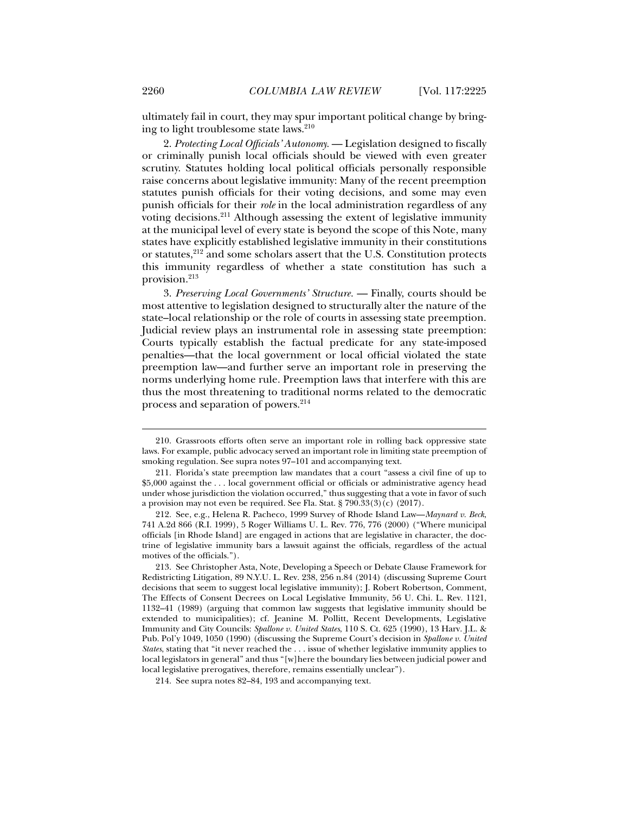ultimately fail in court, they may spur important political change by bringing to light troublesome state laws.210

2. *Protecting Local Officials' Autonomy.* — Legislation designed to fiscally or criminally punish local officials should be viewed with even greater scrutiny. Statutes holding local political officials personally responsible raise concerns about legislative immunity: Many of the recent preemption statutes punish officials for their voting decisions, and some may even punish officials for their *role* in the local administration regardless of any voting decisions.211 Although assessing the extent of legislative immunity at the municipal level of every state is beyond the scope of this Note, many states have explicitly established legislative immunity in their constitutions or statutes,212 and some scholars assert that the U.S. Constitution protects this immunity regardless of whether a state constitution has such a provision.<sup>213</sup>

3. *Preserving Local Governments' Structure.* — Finally, courts should be most attentive to legislation designed to structurally alter the nature of the state–local relationship or the role of courts in assessing state preemption. Judicial review plays an instrumental role in assessing state preemption: Courts typically establish the factual predicate for any state-imposed penalties—that the local government or local official violated the state preemption law—and further serve an important role in preserving the norms underlying home rule. Preemption laws that interfere with this are thus the most threatening to traditional norms related to the democratic process and separation of powers.214

 <sup>210.</sup> Grassroots efforts often serve an important role in rolling back oppressive state laws. For example, public advocacy served an important role in limiting state preemption of smoking regulation. See supra notes 97–101 and accompanying text.

 <sup>211.</sup> Florida's state preemption law mandates that a court "assess a civil fine of up to \$5,000 against the . . . local government official or officials or administrative agency head under whose jurisdiction the violation occurred," thus suggesting that a vote in favor of such a provision may not even be required. See Fla. Stat. § 790.33(3)(c) (2017).

 <sup>212.</sup> See, e.g., Helena R. Pacheco, 1999 Survey of Rhode Island Law—*Maynard v. Beck*, 741 A.2d 866 (R.I. 1999), 5 Roger Williams U. L. Rev. 776, 776 (2000) ("Where municipal officials [in Rhode Island] are engaged in actions that are legislative in character, the doctrine of legislative immunity bars a lawsuit against the officials, regardless of the actual motives of the officials.").

 <sup>213.</sup> See Christopher Asta, Note, Developing a Speech or Debate Clause Framework for Redistricting Litigation, 89 N.Y.U. L. Rev. 238, 256 n.84 (2014) (discussing Supreme Court decisions that seem to suggest local legislative immunity); J. Robert Robertson, Comment, The Effects of Consent Decrees on Local Legislative Immunity, 56 U. Chi. L. Rev. 1121, 1132–41 (1989) (arguing that common law suggests that legislative immunity should be extended to municipalities); cf. Jeanine M. Pollitt, Recent Developments, Legislative Immunity and City Councils: *Spallone v. United States*, 110 S. Ct. 625 (1990), 13 Harv. J.L. & Pub. Pol'y 1049, 1050 (1990) (discussing the Supreme Court's decision in *Spallone v. United States*, stating that "it never reached the . . . issue of whether legislative immunity applies to local legislators in general" and thus "[w]here the boundary lies between judicial power and local legislative prerogatives, therefore, remains essentially unclear").

 <sup>214.</sup> See supra notes 82–84, 193 and accompanying text.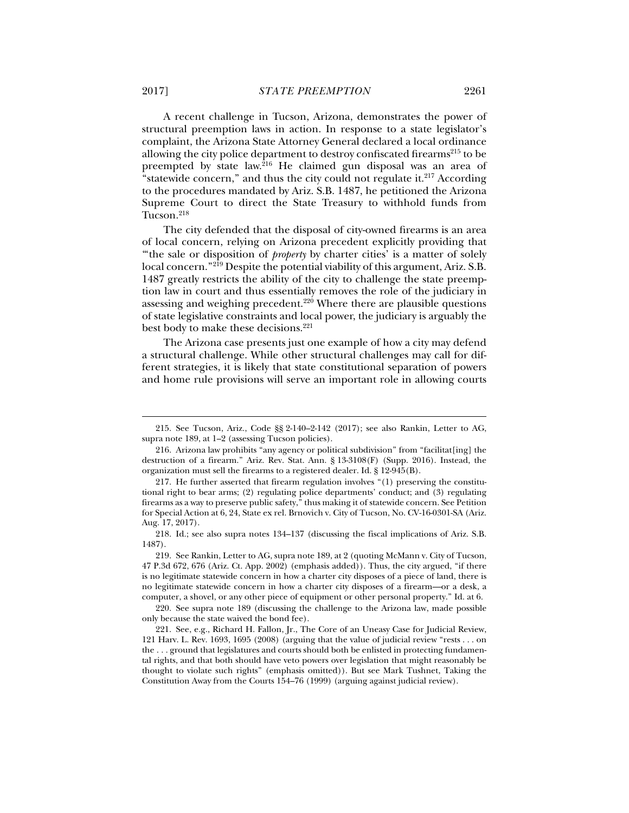A recent challenge in Tucson, Arizona, demonstrates the power of structural preemption laws in action. In response to a state legislator's complaint, the Arizona State Attorney General declared a local ordinance allowing the city police department to destroy confiscated firearms $^{215}$  to be preempted by state law.216 He claimed gun disposal was an area of "statewide concern," and thus the city could not regulate it.<sup>217</sup> According to the procedures mandated by Ariz. S.B. 1487, he petitioned the Arizona Supreme Court to direct the State Treasury to withhold funds from Tucson.<sup>218</sup>

The city defended that the disposal of city-owned firearms is an area of local concern, relying on Arizona precedent explicitly providing that "the sale or disposition of *property* by charter cities' is a matter of solely local concern."<sup>219</sup> Despite the potential viability of this argument, Ariz. S.B. 1487 greatly restricts the ability of the city to challenge the state preemption law in court and thus essentially removes the role of the judiciary in assessing and weighing precedent.<sup>220</sup> Where there are plausible questions of state legislative constraints and local power, the judiciary is arguably the best body to make these decisions.<sup>221</sup>

The Arizona case presents just one example of how a city may defend a structural challenge. While other structural challenges may call for different strategies, it is likely that state constitutional separation of powers and home rule provisions will serve an important role in allowing courts

 <sup>215.</sup> See Tucson, Ariz., Code §§ 2-140–2-142 (2017); see also Rankin, Letter to AG, supra note 189, at 1–2 (assessing Tucson policies).

 <sup>216.</sup> Arizona law prohibits "any agency or political subdivision" from "facilitat[ing] the destruction of a firearm." Ariz. Rev. Stat. Ann. § 13-3108(F) (Supp. 2016). Instead, the organization must sell the firearms to a registered dealer. Id. § 12-945(B).

 <sup>217.</sup> He further asserted that firearm regulation involves "(1) preserving the constitutional right to bear arms; (2) regulating police departments' conduct; and (3) regulating firearms as a way to preserve public safety," thus making it of statewide concern. See Petition for Special Action at 6, 24, State ex rel. Brnovich v. City of Tucson, No. CV-16-0301-SA (Ariz. Aug. 17, 2017).

 <sup>218.</sup> Id.; see also supra notes 134–137 (discussing the fiscal implications of Ariz. S.B. 1487).

 <sup>219.</sup> See Rankin, Letter to AG, supra note 189, at 2 (quoting McMann v. City of Tucson, 47 P.3d 672, 676 (Ariz. Ct. App. 2002) (emphasis added)). Thus, the city argued, "if there is no legitimate statewide concern in how a charter city disposes of a piece of land, there is no legitimate statewide concern in how a charter city disposes of a firearm—or a desk, a computer, a shovel, or any other piece of equipment or other personal property." Id. at 6.

 <sup>220.</sup> See supra note 189 (discussing the challenge to the Arizona law, made possible only because the state waived the bond fee).

 <sup>221.</sup> See, e.g., Richard H. Fallon, Jr., The Core of an Uneasy Case for Judicial Review, 121 Harv. L. Rev. 1693, 1695 (2008) (arguing that the value of judicial review "rests . . . on the . . . ground that legislatures and courts should both be enlisted in protecting fundamental rights, and that both should have veto powers over legislation that might reasonably be thought to violate such rights" (emphasis omitted)). But see Mark Tushnet, Taking the Constitution Away from the Courts 154–76 (1999) (arguing against judicial review).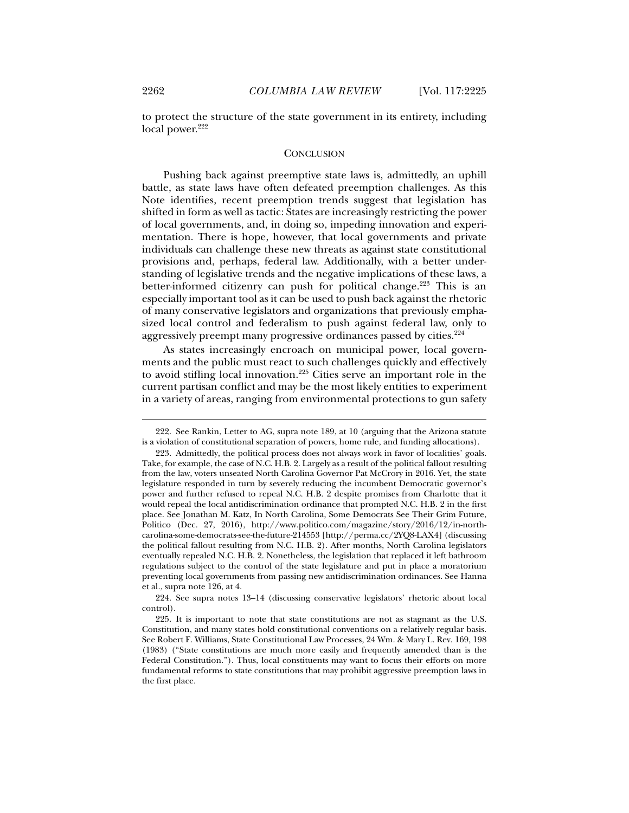to protect the structure of the state government in its entirety, including local power.<sup>222</sup>

#### **CONCLUSION**

Pushing back against preemptive state laws is, admittedly, an uphill battle, as state laws have often defeated preemption challenges. As this Note identifies, recent preemption trends suggest that legislation has shifted in form as well as tactic: States are increasingly restricting the power of local governments, and, in doing so, impeding innovation and experimentation. There is hope, however, that local governments and private individuals can challenge these new threats as against state constitutional provisions and, perhaps, federal law. Additionally, with a better understanding of legislative trends and the negative implications of these laws, a better-informed citizenry can push for political change.<sup>223</sup> This is an especially important tool as it can be used to push back against the rhetoric of many conservative legislators and organizations that previously emphasized local control and federalism to push against federal law, only to aggressively preempt many progressive ordinances passed by cities.<sup>224</sup>

As states increasingly encroach on municipal power, local governments and the public must react to such challenges quickly and effectively to avoid stifling local innovation.225 Cities serve an important role in the current partisan conflict and may be the most likely entities to experiment in a variety of areas, ranging from environmental protections to gun safety

 <sup>222.</sup> See Rankin, Letter to AG, supra note 189, at 10 (arguing that the Arizona statute is a violation of constitutional separation of powers, home rule, and funding allocations).

 <sup>223.</sup> Admittedly, the political process does not always work in favor of localities' goals. Take, for example, the case of N.C. H.B. 2. Largely as a result of the political fallout resulting from the law, voters unseated North Carolina Governor Pat McCrory in 2016. Yet, the state legislature responded in turn by severely reducing the incumbent Democratic governor's power and further refused to repeal N.C. H.B. 2 despite promises from Charlotte that it would repeal the local antidiscrimination ordinance that prompted N.C. H.B. 2 in the first place. See Jonathan M. Katz, In North Carolina, Some Democrats See Their Grim Future, Politico (Dec. 27, 2016), http://www.politico.com/magazine/story/2016/12/in-northcarolina-some-democrats-see-the-future-214553 [http://perma.cc/2YQ8-LAX4] (discussing the political fallout resulting from N.C. H.B. 2). After months, North Carolina legislators eventually repealed N.C. H.B. 2. Nonetheless, the legislation that replaced it left bathroom regulations subject to the control of the state legislature and put in place a moratorium preventing local governments from passing new antidiscrimination ordinances. See Hanna et al., supra note 126, at 4.

 <sup>224.</sup> See supra notes 13–14 (discussing conservative legislators' rhetoric about local control).

 <sup>225.</sup> It is important to note that state constitutions are not as stagnant as the U.S. Constitution, and many states hold constitutional conventions on a relatively regular basis. See Robert F. Williams, State Constitutional Law Processes, 24 Wm. & Mary L. Rev. 169, 198 (1983) ("State constitutions are much more easily and frequently amended than is the Federal Constitution."). Thus, local constituents may want to focus their efforts on more fundamental reforms to state constitutions that may prohibit aggressive preemption laws in the first place.